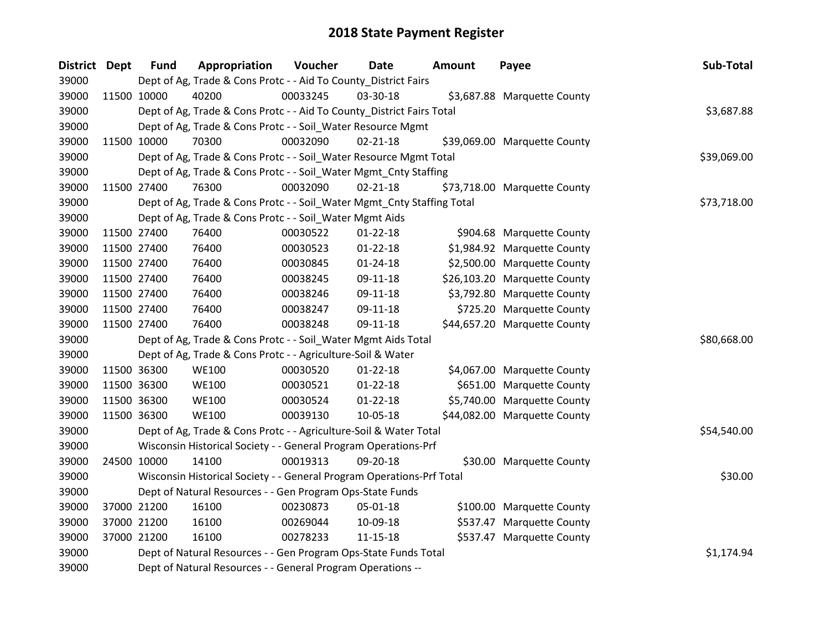| <b>District Dept</b> |             | <b>Fund</b> | Appropriation                                                          | Voucher  | Date           | <b>Amount</b> | Payee                        | Sub-Total   |
|----------------------|-------------|-------------|------------------------------------------------------------------------|----------|----------------|---------------|------------------------------|-------------|
| 39000                |             |             | Dept of Ag, Trade & Cons Protc - - Aid To County_District Fairs        |          |                |               |                              |             |
| 39000                | 11500 10000 |             | 40200                                                                  | 00033245 | 03-30-18       |               | \$3,687.88 Marquette County  |             |
| 39000                |             |             | Dept of Ag, Trade & Cons Protc - - Aid To County_District Fairs Total  |          |                |               |                              | \$3,687.88  |
| 39000                |             |             | Dept of Ag, Trade & Cons Protc - - Soil_Water Resource Mgmt            |          |                |               |                              |             |
| 39000                | 11500 10000 |             | 70300                                                                  | 00032090 | $02 - 21 - 18$ |               | \$39,069.00 Marquette County |             |
| 39000                |             |             | Dept of Ag, Trade & Cons Protc - - Soil_Water Resource Mgmt Total      |          |                |               |                              | \$39,069.00 |
| 39000                |             |             | Dept of Ag, Trade & Cons Protc - - Soil_Water Mgmt_Cnty Staffing       |          |                |               |                              |             |
| 39000                |             | 11500 27400 | 76300                                                                  | 00032090 | $02 - 21 - 18$ |               | \$73,718.00 Marquette County |             |
| 39000                |             |             | Dept of Ag, Trade & Cons Protc - - Soil_Water Mgmt_Cnty Staffing Total |          |                |               |                              | \$73,718.00 |
| 39000                |             |             | Dept of Ag, Trade & Cons Protc - - Soil_Water Mgmt Aids                |          |                |               |                              |             |
| 39000                |             | 11500 27400 | 76400                                                                  | 00030522 | $01 - 22 - 18$ |               | \$904.68 Marquette County    |             |
| 39000                | 11500 27400 |             | 76400                                                                  | 00030523 | $01 - 22 - 18$ |               | \$1,984.92 Marquette County  |             |
| 39000                | 11500 27400 |             | 76400                                                                  | 00030845 | $01 - 24 - 18$ |               | \$2,500.00 Marquette County  |             |
| 39000                | 11500 27400 |             | 76400                                                                  | 00038245 | 09-11-18       |               | \$26,103.20 Marquette County |             |
| 39000                |             | 11500 27400 | 76400                                                                  | 00038246 | 09-11-18       |               | \$3,792.80 Marquette County  |             |
| 39000                |             | 11500 27400 | 76400                                                                  | 00038247 | 09-11-18       |               | \$725.20 Marquette County    |             |
| 39000                | 11500 27400 |             | 76400                                                                  | 00038248 | 09-11-18       |               | \$44,657.20 Marquette County |             |
| 39000                |             |             | Dept of Ag, Trade & Cons Protc - - Soil_Water Mgmt Aids Total          |          |                |               |                              | \$80,668.00 |
| 39000                |             |             | Dept of Ag, Trade & Cons Protc - - Agriculture-Soil & Water            |          |                |               |                              |             |
| 39000                | 11500 36300 |             | <b>WE100</b>                                                           | 00030520 | $01 - 22 - 18$ |               | \$4,067.00 Marquette County  |             |
| 39000                |             | 11500 36300 | <b>WE100</b>                                                           | 00030521 | $01 - 22 - 18$ |               | \$651.00 Marquette County    |             |
| 39000                | 11500 36300 |             | <b>WE100</b>                                                           | 00030524 | $01 - 22 - 18$ |               | \$5,740.00 Marquette County  |             |
| 39000                | 11500 36300 |             | <b>WE100</b>                                                           | 00039130 | 10-05-18       |               | \$44,082.00 Marquette County |             |
| 39000                |             |             | Dept of Ag, Trade & Cons Protc - - Agriculture-Soil & Water Total      |          |                |               |                              | \$54,540.00 |
| 39000                |             |             | Wisconsin Historical Society - - General Program Operations-Prf        |          |                |               |                              |             |
| 39000                | 24500 10000 |             | 14100                                                                  | 00019313 | 09-20-18       |               | \$30.00 Marquette County     |             |
| 39000                |             |             | Wisconsin Historical Society - - General Program Operations-Prf Total  |          |                |               |                              | \$30.00     |
| 39000                |             |             | Dept of Natural Resources - - Gen Program Ops-State Funds              |          |                |               |                              |             |
| 39000                |             | 37000 21200 | 16100                                                                  | 00230873 | 05-01-18       |               | \$100.00 Marquette County    |             |
| 39000                |             | 37000 21200 | 16100                                                                  | 00269044 | 10-09-18       |               | \$537.47 Marquette County    |             |
| 39000                |             | 37000 21200 | 16100                                                                  | 00278233 | $11 - 15 - 18$ |               | \$537.47 Marquette County    |             |
| 39000                |             |             | Dept of Natural Resources - - Gen Program Ops-State Funds Total        |          |                |               |                              | \$1,174.94  |
| 39000                |             |             | Dept of Natural Resources - - General Program Operations --            |          |                |               |                              |             |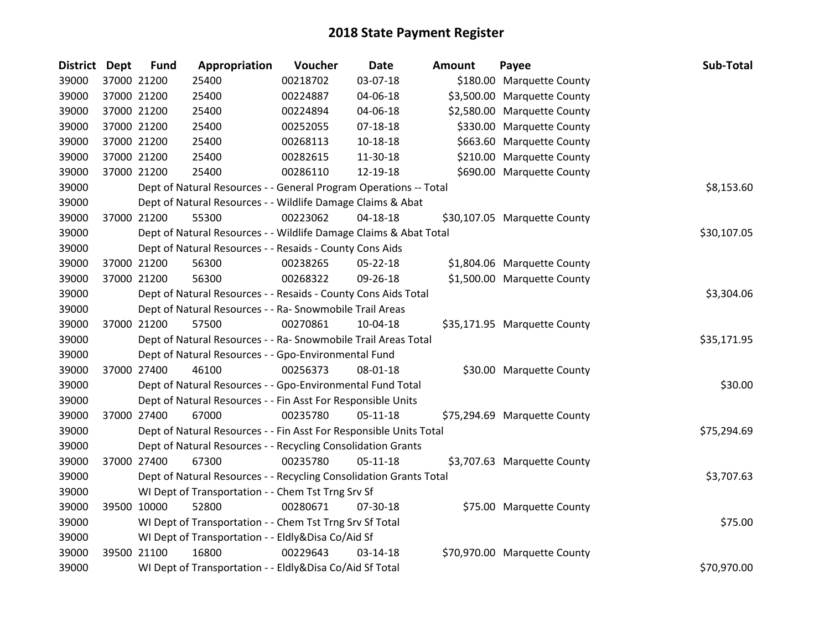| <b>District</b> | <b>Dept</b> | <b>Fund</b> | Appropriation                                                      | Voucher  | <b>Date</b>    | Amount | Payee                        | Sub-Total   |
|-----------------|-------------|-------------|--------------------------------------------------------------------|----------|----------------|--------|------------------------------|-------------|
| 39000           |             | 37000 21200 | 25400                                                              | 00218702 | 03-07-18       |        | \$180.00 Marquette County    |             |
| 39000           | 37000 21200 |             | 25400                                                              | 00224887 | 04-06-18       |        | \$3,500.00 Marquette County  |             |
| 39000           | 37000 21200 |             | 25400                                                              | 00224894 | 04-06-18       |        | \$2,580.00 Marquette County  |             |
| 39000           | 37000 21200 |             | 25400                                                              | 00252055 | $07 - 18 - 18$ |        | \$330.00 Marquette County    |             |
| 39000           | 37000 21200 |             | 25400                                                              | 00268113 | 10-18-18       |        | \$663.60 Marquette County    |             |
| 39000           |             | 37000 21200 | 25400                                                              | 00282615 | 11-30-18       |        | \$210.00 Marquette County    |             |
| 39000           |             | 37000 21200 | 25400                                                              | 00286110 | 12-19-18       |        | \$690.00 Marquette County    |             |
| 39000           |             |             | Dept of Natural Resources - - General Program Operations -- Total  |          |                |        |                              | \$8,153.60  |
| 39000           |             |             | Dept of Natural Resources - - Wildlife Damage Claims & Abat        |          |                |        |                              |             |
| 39000           | 37000 21200 |             | 55300                                                              | 00223062 | 04-18-18       |        | \$30,107.05 Marquette County |             |
| 39000           |             |             | Dept of Natural Resources - - Wildlife Damage Claims & Abat Total  |          |                |        |                              | \$30,107.05 |
| 39000           |             |             | Dept of Natural Resources - - Resaids - County Cons Aids           |          |                |        |                              |             |
| 39000           |             | 37000 21200 | 56300                                                              | 00238265 | 05-22-18       |        | \$1,804.06 Marquette County  |             |
| 39000           |             | 37000 21200 | 56300                                                              | 00268322 | 09-26-18       |        | \$1,500.00 Marquette County  |             |
| 39000           |             |             | Dept of Natural Resources - - Resaids - County Cons Aids Total     |          | \$3,304.06     |        |                              |             |
| 39000           |             |             | Dept of Natural Resources - - Ra- Snowmobile Trail Areas           |          |                |        |                              |             |
| 39000           |             | 37000 21200 | 57500                                                              | 00270861 | 10-04-18       |        | \$35,171.95 Marquette County |             |
| 39000           |             |             | Dept of Natural Resources - - Ra- Snowmobile Trail Areas Total     |          |                |        |                              | \$35,171.95 |
| 39000           |             |             | Dept of Natural Resources - - Gpo-Environmental Fund               |          |                |        |                              |             |
| 39000           |             | 37000 27400 | 46100                                                              | 00256373 | 08-01-18       |        | \$30.00 Marquette County     |             |
| 39000           |             |             | Dept of Natural Resources - - Gpo-Environmental Fund Total         |          |                |        |                              | \$30.00     |
| 39000           |             |             | Dept of Natural Resources - - Fin Asst For Responsible Units       |          |                |        |                              |             |
| 39000           |             | 37000 27400 | 67000                                                              | 00235780 | $05-11-18$     |        | \$75,294.69 Marquette County |             |
| 39000           |             |             | Dept of Natural Resources - - Fin Asst For Responsible Units Total |          |                |        |                              | \$75,294.69 |
| 39000           |             |             | Dept of Natural Resources - - Recycling Consolidation Grants       |          |                |        |                              |             |
| 39000           |             | 37000 27400 | 67300                                                              | 00235780 | $05 - 11 - 18$ |        | \$3,707.63 Marquette County  |             |
| 39000           |             |             | Dept of Natural Resources - - Recycling Consolidation Grants Total |          |                |        |                              | \$3,707.63  |
| 39000           |             |             | WI Dept of Transportation - - Chem Tst Trng Srv Sf                 |          |                |        |                              |             |
| 39000           |             | 39500 10000 | 52800                                                              | 00280671 | 07-30-18       |        | \$75.00 Marquette County     |             |
| 39000           |             |             | WI Dept of Transportation - - Chem Tst Trng Srv Sf Total           |          |                |        |                              | \$75.00     |
| 39000           |             |             | WI Dept of Transportation - - Eldly&Disa Co/Aid Sf                 |          |                |        |                              |             |
| 39000           |             | 39500 21100 | 16800                                                              | 00229643 | 03-14-18       |        | \$70,970.00 Marquette County |             |
| 39000           |             |             | WI Dept of Transportation - - Eldly&Disa Co/Aid Sf Total           |          |                |        |                              | \$70,970.00 |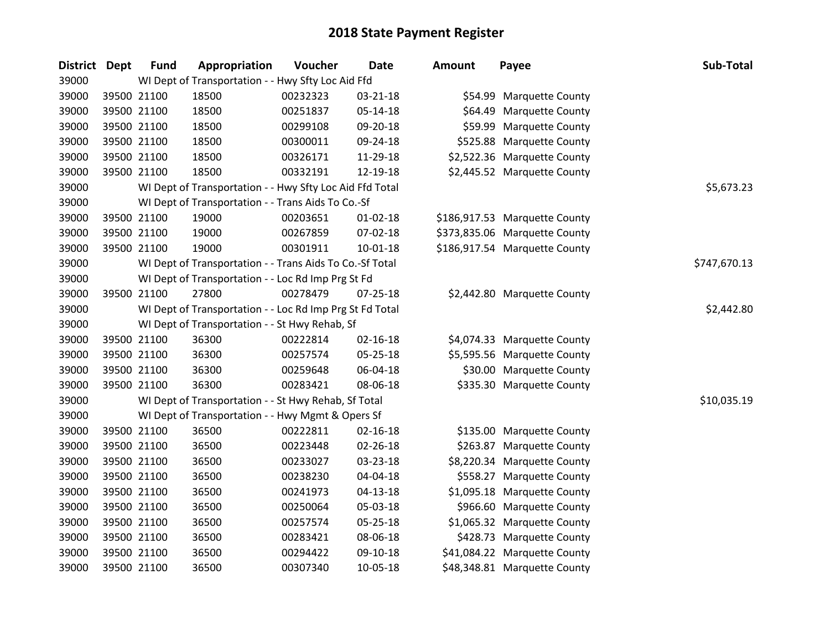| District Dept | <b>Fund</b> | Appropriation                                            | Voucher  | <b>Date</b>    | Amount | Payee                         | Sub-Total    |
|---------------|-------------|----------------------------------------------------------|----------|----------------|--------|-------------------------------|--------------|
| 39000         |             | WI Dept of Transportation - - Hwy Sfty Loc Aid Ffd       |          |                |        |                               |              |
| 39000         | 39500 21100 | 18500                                                    | 00232323 | 03-21-18       |        | \$54.99 Marquette County      |              |
| 39000         | 39500 21100 | 18500                                                    | 00251837 | 05-14-18       |        | \$64.49 Marquette County      |              |
| 39000         | 39500 21100 | 18500                                                    | 00299108 | 09-20-18       |        | \$59.99 Marquette County      |              |
| 39000         | 39500 21100 | 18500                                                    | 00300011 | 09-24-18       |        | \$525.88 Marquette County     |              |
| 39000         | 39500 21100 | 18500                                                    | 00326171 | 11-29-18       |        | \$2,522.36 Marquette County   |              |
| 39000         | 39500 21100 | 18500                                                    | 00332191 | 12-19-18       |        | \$2,445.52 Marquette County   |              |
| 39000         |             | WI Dept of Transportation - - Hwy Sfty Loc Aid Ffd Total |          |                |        |                               | \$5,673.23   |
| 39000         |             | WI Dept of Transportation - - Trans Aids To Co.-Sf       |          |                |        |                               |              |
| 39000         | 39500 21100 | 19000                                                    | 00203651 | $01 - 02 - 18$ |        | \$186,917.53 Marquette County |              |
| 39000         | 39500 21100 | 19000                                                    | 00267859 | 07-02-18       |        | \$373,835.06 Marquette County |              |
| 39000         | 39500 21100 | 19000                                                    | 00301911 | 10-01-18       |        | \$186,917.54 Marquette County |              |
| 39000         |             | WI Dept of Transportation - - Trans Aids To Co.-Sf Total |          |                |        |                               | \$747,670.13 |
| 39000         |             | WI Dept of Transportation - - Loc Rd Imp Prg St Fd       |          |                |        |                               |              |
| 39000         | 39500 21100 | 27800                                                    | 00278479 | $07 - 25 - 18$ |        | \$2,442.80 Marquette County   |              |
| 39000         |             | WI Dept of Transportation - - Loc Rd Imp Prg St Fd Total |          |                |        |                               | \$2,442.80   |
| 39000         |             | WI Dept of Transportation - - St Hwy Rehab, Sf           |          |                |        |                               |              |
| 39000         | 39500 21100 | 36300                                                    | 00222814 | $02 - 16 - 18$ |        | \$4,074.33 Marquette County   |              |
| 39000         | 39500 21100 | 36300                                                    | 00257574 | 05-25-18       |        | \$5,595.56 Marquette County   |              |
| 39000         | 39500 21100 | 36300                                                    | 00259648 | 06-04-18       |        | \$30.00 Marquette County      |              |
| 39000         | 39500 21100 | 36300                                                    | 00283421 | 08-06-18       |        | \$335.30 Marquette County     |              |
| 39000         |             | WI Dept of Transportation - - St Hwy Rehab, Sf Total     |          |                |        |                               | \$10,035.19  |
| 39000         |             | WI Dept of Transportation - - Hwy Mgmt & Opers Sf        |          |                |        |                               |              |
| 39000         | 39500 21100 | 36500                                                    | 00222811 | $02 - 16 - 18$ |        | \$135.00 Marquette County     |              |
| 39000         | 39500 21100 | 36500                                                    | 00223448 | 02-26-18       |        | \$263.87 Marquette County     |              |
| 39000         | 39500 21100 | 36500                                                    | 00233027 | 03-23-18       |        | \$8,220.34 Marquette County   |              |
| 39000         | 39500 21100 | 36500                                                    | 00238230 | 04-04-18       |        | \$558.27 Marquette County     |              |
| 39000         | 39500 21100 | 36500                                                    | 00241973 | $04 - 13 - 18$ |        | \$1,095.18 Marquette County   |              |
| 39000         | 39500 21100 | 36500                                                    | 00250064 | 05-03-18       |        | \$966.60 Marquette County     |              |
| 39000         | 39500 21100 | 36500                                                    | 00257574 | 05-25-18       |        | \$1,065.32 Marquette County   |              |
| 39000         | 39500 21100 | 36500                                                    | 00283421 | 08-06-18       |        | \$428.73 Marquette County     |              |
| 39000         | 39500 21100 | 36500                                                    | 00294422 | 09-10-18       |        | \$41,084.22 Marquette County  |              |
| 39000         | 39500 21100 | 36500                                                    | 00307340 | 10-05-18       |        | \$48,348.81 Marquette County  |              |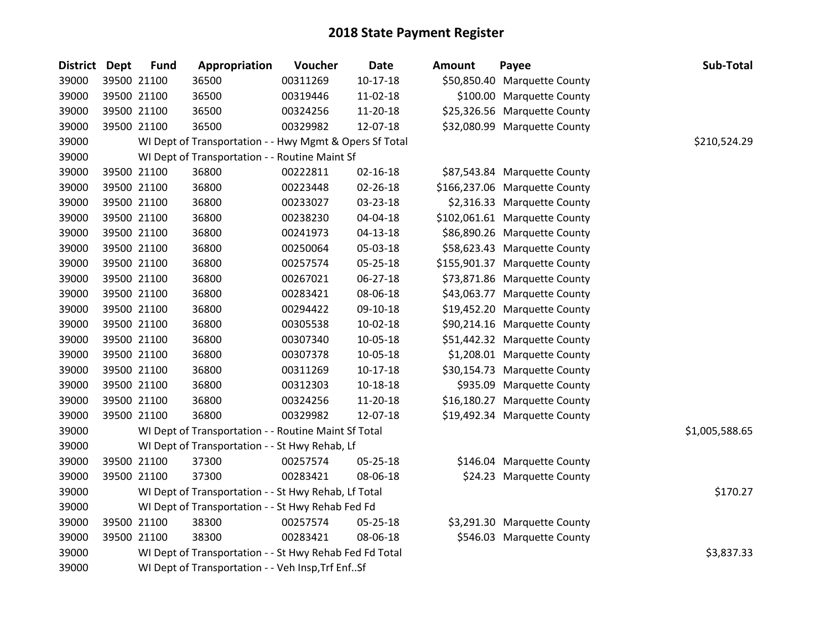| District Dept | <b>Fund</b> | Appropriation                                           | Voucher  | <b>Date</b>    | <b>Amount</b> | Payee                         | Sub-Total      |
|---------------|-------------|---------------------------------------------------------|----------|----------------|---------------|-------------------------------|----------------|
| 39000         | 39500 21100 | 36500                                                   | 00311269 | $10-17-18$     |               | \$50,850.40 Marquette County  |                |
| 39000         | 39500 21100 | 36500                                                   | 00319446 | 11-02-18       |               | \$100.00 Marquette County     |                |
| 39000         | 39500 21100 | 36500                                                   | 00324256 | 11-20-18       |               | \$25,326.56 Marquette County  |                |
| 39000         | 39500 21100 | 36500                                                   | 00329982 | 12-07-18       |               | \$32,080.99 Marquette County  |                |
| 39000         |             | WI Dept of Transportation - - Hwy Mgmt & Opers Sf Total |          |                |               |                               | \$210,524.29   |
| 39000         |             | WI Dept of Transportation - - Routine Maint Sf          |          |                |               |                               |                |
| 39000         | 39500 21100 | 36800                                                   | 00222811 | $02 - 16 - 18$ |               | \$87,543.84 Marquette County  |                |
| 39000         | 39500 21100 | 36800                                                   | 00223448 | 02-26-18       |               | \$166,237.06 Marquette County |                |
| 39000         | 39500 21100 | 36800                                                   | 00233027 | 03-23-18       |               | \$2,316.33 Marquette County   |                |
| 39000         | 39500 21100 | 36800                                                   | 00238230 | 04-04-18       |               | \$102,061.61 Marquette County |                |
| 39000         | 39500 21100 | 36800                                                   | 00241973 | 04-13-18       |               | \$86,890.26 Marquette County  |                |
| 39000         | 39500 21100 | 36800                                                   | 00250064 | 05-03-18       |               | \$58,623.43 Marquette County  |                |
| 39000         | 39500 21100 | 36800                                                   | 00257574 | 05-25-18       |               | \$155,901.37 Marquette County |                |
| 39000         | 39500 21100 | 36800                                                   | 00267021 | 06-27-18       |               | \$73,871.86 Marquette County  |                |
| 39000         | 39500 21100 | 36800                                                   | 00283421 | 08-06-18       |               | \$43,063.77 Marquette County  |                |
| 39000         | 39500 21100 | 36800                                                   | 00294422 | 09-10-18       |               | \$19,452.20 Marquette County  |                |
| 39000         | 39500 21100 | 36800                                                   | 00305538 | 10-02-18       |               | \$90,214.16 Marquette County  |                |
| 39000         | 39500 21100 | 36800                                                   | 00307340 | 10-05-18       |               | \$51,442.32 Marquette County  |                |
| 39000         | 39500 21100 | 36800                                                   | 00307378 | 10-05-18       |               | \$1,208.01 Marquette County   |                |
| 39000         | 39500 21100 | 36800                                                   | 00311269 | 10-17-18       |               | \$30,154.73 Marquette County  |                |
| 39000         | 39500 21100 | 36800                                                   | 00312303 | 10-18-18       |               | \$935.09 Marquette County     |                |
| 39000         | 39500 21100 | 36800                                                   | 00324256 | 11-20-18       |               | \$16,180.27 Marquette County  |                |
| 39000         | 39500 21100 | 36800                                                   | 00329982 | 12-07-18       |               | \$19,492.34 Marquette County  |                |
| 39000         |             | WI Dept of Transportation - - Routine Maint Sf Total    |          |                |               |                               | \$1,005,588.65 |
| 39000         |             | WI Dept of Transportation - - St Hwy Rehab, Lf          |          |                |               |                               |                |
| 39000         | 39500 21100 | 37300                                                   | 00257574 | 05-25-18       |               | \$146.04 Marquette County     |                |
| 39000         | 39500 21100 | 37300                                                   | 00283421 | 08-06-18       |               | \$24.23 Marquette County      |                |
| 39000         |             | WI Dept of Transportation - - St Hwy Rehab, Lf Total    |          |                |               |                               | \$170.27       |
| 39000         |             | WI Dept of Transportation - - St Hwy Rehab Fed Fd       |          |                |               |                               |                |
| 39000         | 39500 21100 | 38300                                                   | 00257574 | 05-25-18       |               | \$3,291.30 Marquette County   |                |
| 39000         | 39500 21100 | 38300                                                   | 00283421 | 08-06-18       |               | \$546.03 Marquette County     |                |
| 39000         |             | WI Dept of Transportation - - St Hwy Rehab Fed Fd Total |          |                |               |                               | \$3,837.33     |
| 39000         |             | WI Dept of Transportation - - Veh Insp, Trf EnfSf       |          |                |               |                               |                |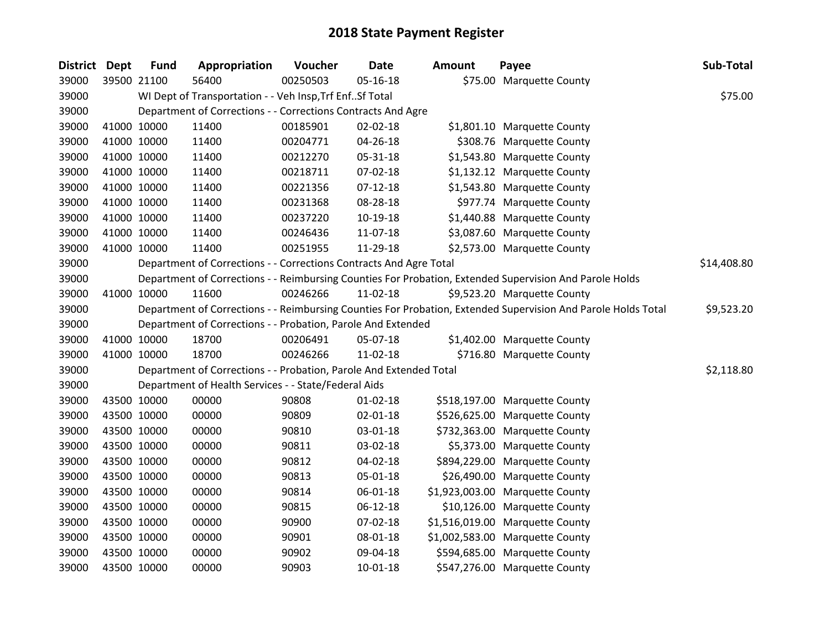| District Dept |             | <b>Fund</b> | Appropriation                                                      | Voucher  | <b>Date</b>    | <b>Amount</b> | Payee                                                                                                         | Sub-Total   |
|---------------|-------------|-------------|--------------------------------------------------------------------|----------|----------------|---------------|---------------------------------------------------------------------------------------------------------------|-------------|
| 39000         |             | 39500 21100 | 56400                                                              | 00250503 | 05-16-18       |               | \$75.00 Marquette County                                                                                      |             |
| 39000         |             |             | WI Dept of Transportation - - Veh Insp, Trf Enf Sf Total           |          |                |               |                                                                                                               | \$75.00     |
| 39000         |             |             | Department of Corrections - - Corrections Contracts And Agre       |          |                |               |                                                                                                               |             |
| 39000         |             | 41000 10000 | 11400                                                              | 00185901 | 02-02-18       |               | \$1,801.10 Marquette County                                                                                   |             |
| 39000         |             | 41000 10000 | 11400                                                              | 00204771 | 04-26-18       |               | \$308.76 Marquette County                                                                                     |             |
| 39000         |             | 41000 10000 | 11400                                                              | 00212270 | 05-31-18       |               | \$1,543.80 Marquette County                                                                                   |             |
| 39000         |             | 41000 10000 | 11400                                                              | 00218711 | 07-02-18       |               | \$1,132.12 Marquette County                                                                                   |             |
| 39000         |             | 41000 10000 | 11400                                                              | 00221356 | $07 - 12 - 18$ |               | \$1,543.80 Marquette County                                                                                   |             |
| 39000         |             | 41000 10000 | 11400                                                              | 00231368 | 08-28-18       |               | \$977.74 Marquette County                                                                                     |             |
| 39000         |             | 41000 10000 | 11400                                                              | 00237220 | 10-19-18       |               | \$1,440.88 Marquette County                                                                                   |             |
| 39000         |             | 41000 10000 | 11400                                                              | 00246436 | 11-07-18       |               | \$3,087.60 Marquette County                                                                                   |             |
| 39000         |             | 41000 10000 | 11400                                                              | 00251955 | 11-29-18       |               | \$2,573.00 Marquette County                                                                                   |             |
| 39000         |             |             | Department of Corrections - - Corrections Contracts And Agre Total |          |                |               |                                                                                                               | \$14,408.80 |
| 39000         |             |             |                                                                    |          |                |               | Department of Corrections - - Reimbursing Counties For Probation, Extended Supervision And Parole Holds       |             |
| 39000         |             | 41000 10000 | 11600                                                              | 00246266 | 11-02-18       |               | \$9,523.20 Marquette County                                                                                   |             |
| 39000         |             |             |                                                                    |          |                |               | Department of Corrections - - Reimbursing Counties For Probation, Extended Supervision And Parole Holds Total | \$9,523.20  |
| 39000         |             |             | Department of Corrections - - Probation, Parole And Extended       |          |                |               |                                                                                                               |             |
| 39000         |             | 41000 10000 | 18700                                                              | 00206491 | 05-07-18       |               | \$1,402.00 Marquette County                                                                                   |             |
| 39000         |             | 41000 10000 | 18700                                                              | 00246266 | 11-02-18       |               | \$716.80 Marquette County                                                                                     |             |
| 39000         |             |             | Department of Corrections - - Probation, Parole And Extended Total |          |                |               |                                                                                                               | \$2,118.80  |
| 39000         |             |             | Department of Health Services - - State/Federal Aids               |          |                |               |                                                                                                               |             |
| 39000         |             | 43500 10000 | 00000                                                              | 90808    | $01 - 02 - 18$ |               | \$518,197.00 Marquette County                                                                                 |             |
| 39000         | 43500 10000 |             | 00000                                                              | 90809    | 02-01-18       |               | \$526,625.00 Marquette County                                                                                 |             |
| 39000         |             | 43500 10000 | 00000                                                              | 90810    | 03-01-18       |               | \$732,363.00 Marquette County                                                                                 |             |
| 39000         |             | 43500 10000 | 00000                                                              | 90811    | 03-02-18       |               | \$5,373.00 Marquette County                                                                                   |             |
| 39000         |             | 43500 10000 | 00000                                                              | 90812    | 04-02-18       |               | \$894,229.00 Marquette County                                                                                 |             |
| 39000         |             | 43500 10000 | 00000                                                              | 90813    | 05-01-18       |               | \$26,490.00 Marquette County                                                                                  |             |
| 39000         |             | 43500 10000 | 00000                                                              | 90814    | 06-01-18       |               | \$1,923,003.00 Marquette County                                                                               |             |
| 39000         |             | 43500 10000 | 00000                                                              | 90815    | 06-12-18       |               | \$10,126.00 Marquette County                                                                                  |             |
| 39000         |             | 43500 10000 | 00000                                                              | 90900    | 07-02-18       |               | \$1,516,019.00 Marquette County                                                                               |             |
| 39000         |             | 43500 10000 | 00000                                                              | 90901    | 08-01-18       |               | \$1,002,583.00 Marquette County                                                                               |             |
| 39000         |             | 43500 10000 | 00000                                                              | 90902    | 09-04-18       |               | \$594,685.00 Marquette County                                                                                 |             |
| 39000         |             | 43500 10000 | 00000                                                              | 90903    | 10-01-18       |               | \$547,276.00 Marquette County                                                                                 |             |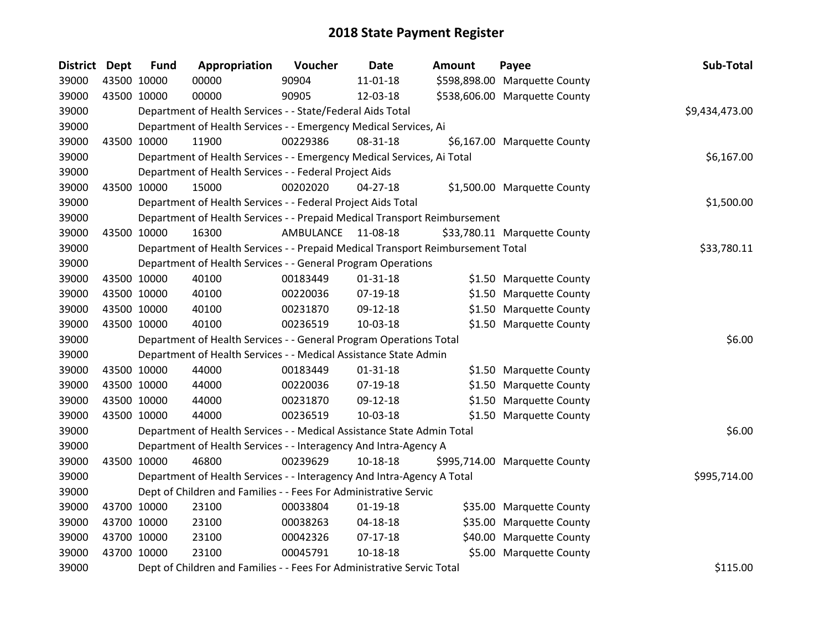| District Dept | <b>Fund</b> | Appropriation                                                                   | Voucher          | Date           | <b>Amount</b> | Payee                         | Sub-Total      |
|---------------|-------------|---------------------------------------------------------------------------------|------------------|----------------|---------------|-------------------------------|----------------|
| 39000         | 43500 10000 | 00000                                                                           | 90904            | $11 - 01 - 18$ |               | \$598,898.00 Marquette County |                |
| 39000         | 43500 10000 | 00000                                                                           | 90905            | 12-03-18       |               | \$538,606.00 Marquette County |                |
| 39000         |             | Department of Health Services - - State/Federal Aids Total                      |                  |                |               |                               | \$9,434,473.00 |
| 39000         |             | Department of Health Services - - Emergency Medical Services, Ai                |                  |                |               |                               |                |
| 39000         | 43500 10000 | 11900                                                                           | 00229386         | 08-31-18       |               | \$6,167.00 Marquette County   |                |
| 39000         |             | Department of Health Services - - Emergency Medical Services, Ai Total          |                  |                |               |                               | \$6,167.00     |
| 39000         |             | Department of Health Services - - Federal Project Aids                          |                  |                |               |                               |                |
| 39000         | 43500 10000 | 15000                                                                           | 00202020         | $04 - 27 - 18$ |               | \$1,500.00 Marquette County   |                |
| 39000         |             | Department of Health Services - - Federal Project Aids Total                    |                  |                |               |                               | \$1,500.00     |
| 39000         |             | Department of Health Services - - Prepaid Medical Transport Reimbursement       |                  |                |               |                               |                |
| 39000         | 43500 10000 | 16300                                                                           | <b>AMBULANCE</b> | 11-08-18       |               | \$33,780.11 Marquette County  |                |
| 39000         |             | Department of Health Services - - Prepaid Medical Transport Reimbursement Total |                  |                |               |                               | \$33,780.11    |
| 39000         |             | Department of Health Services - - General Program Operations                    |                  |                |               |                               |                |
| 39000         | 43500 10000 | 40100                                                                           | 00183449         | $01 - 31 - 18$ |               | \$1.50 Marquette County       |                |
| 39000         | 43500 10000 | 40100                                                                           | 00220036         | 07-19-18       |               | \$1.50 Marquette County       |                |
| 39000         | 43500 10000 | 40100                                                                           | 00231870         | 09-12-18       |               | \$1.50 Marquette County       |                |
| 39000         | 43500 10000 | 40100                                                                           | 00236519         | 10-03-18       |               | \$1.50 Marquette County       |                |
| 39000         |             | Department of Health Services - - General Program Operations Total              |                  |                |               |                               | \$6.00         |
| 39000         |             | Department of Health Services - - Medical Assistance State Admin                |                  |                |               |                               |                |
| 39000         | 43500 10000 | 44000                                                                           | 00183449         | $01 - 31 - 18$ |               | \$1.50 Marquette County       |                |
| 39000         | 43500 10000 | 44000                                                                           | 00220036         | 07-19-18       |               | \$1.50 Marquette County       |                |
| 39000         | 43500 10000 | 44000                                                                           | 00231870         | 09-12-18       |               | \$1.50 Marquette County       |                |
| 39000         | 43500 10000 | 44000                                                                           | 00236519         | 10-03-18       |               | \$1.50 Marquette County       |                |
| 39000         |             | Department of Health Services - - Medical Assistance State Admin Total          |                  |                |               |                               | \$6.00         |
| 39000         |             | Department of Health Services - - Interagency And Intra-Agency A                |                  |                |               |                               |                |
| 39000         | 43500 10000 | 46800                                                                           | 00239629         | 10-18-18       |               | \$995,714.00 Marquette County |                |
| 39000         |             | Department of Health Services - - Interagency And Intra-Agency A Total          |                  |                |               |                               | \$995,714.00   |
| 39000         |             | Dept of Children and Families - - Fees For Administrative Servic                |                  |                |               |                               |                |
| 39000         | 43700 10000 | 23100                                                                           | 00033804         | $01-19-18$     |               | \$35.00 Marquette County      |                |
| 39000         | 43700 10000 | 23100                                                                           | 00038263         | 04-18-18       |               | \$35.00 Marquette County      |                |
| 39000         | 43700 10000 | 23100                                                                           | 00042326         | $07-17-18$     |               | \$40.00 Marquette County      |                |
| 39000         | 43700 10000 | 23100                                                                           | 00045791         | 10-18-18       |               | \$5.00 Marquette County       |                |
| 39000         |             | Dept of Children and Families - - Fees For Administrative Servic Total          |                  |                |               |                               | \$115.00       |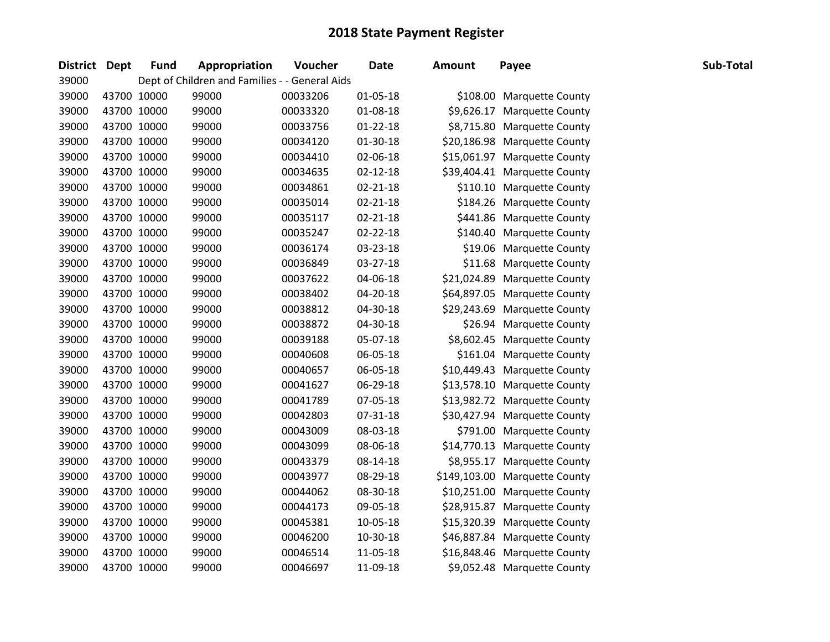| <b>District</b> | <b>Dept</b> | <b>Fund</b> | Appropriation                                  | Voucher  | <b>Date</b>    | Amount | Payee                         | Sub-Total |
|-----------------|-------------|-------------|------------------------------------------------|----------|----------------|--------|-------------------------------|-----------|
| 39000           |             |             | Dept of Children and Families - - General Aids |          |                |        |                               |           |
| 39000           |             | 43700 10000 | 99000                                          | 00033206 | $01 - 05 - 18$ |        | \$108.00 Marquette County     |           |
| 39000           |             | 43700 10000 | 99000                                          | 00033320 | 01-08-18       |        | \$9,626.17 Marquette County   |           |
| 39000           |             | 43700 10000 | 99000                                          | 00033756 | $01 - 22 - 18$ |        | \$8,715.80 Marquette County   |           |
| 39000           |             | 43700 10000 | 99000                                          | 00034120 | 01-30-18       |        | \$20,186.98 Marquette County  |           |
| 39000           |             | 43700 10000 | 99000                                          | 00034410 | 02-06-18       |        | \$15,061.97 Marquette County  |           |
| 39000           |             | 43700 10000 | 99000                                          | 00034635 | $02 - 12 - 18$ |        | \$39,404.41 Marquette County  |           |
| 39000           |             | 43700 10000 | 99000                                          | 00034861 | $02 - 21 - 18$ |        | \$110.10 Marquette County     |           |
| 39000           |             | 43700 10000 | 99000                                          | 00035014 | $02 - 21 - 18$ |        | \$184.26 Marquette County     |           |
| 39000           |             | 43700 10000 | 99000                                          | 00035117 | $02 - 21 - 18$ |        | \$441.86 Marquette County     |           |
| 39000           |             | 43700 10000 | 99000                                          | 00035247 | 02-22-18       |        | \$140.40 Marquette County     |           |
| 39000           |             | 43700 10000 | 99000                                          | 00036174 | 03-23-18       |        | \$19.06 Marquette County      |           |
| 39000           |             | 43700 10000 | 99000                                          | 00036849 | 03-27-18       |        | \$11.68 Marquette County      |           |
| 39000           |             | 43700 10000 | 99000                                          | 00037622 | 04-06-18       |        | \$21,024.89 Marquette County  |           |
| 39000           |             | 43700 10000 | 99000                                          | 00038402 | 04-20-18       |        | \$64,897.05 Marquette County  |           |
| 39000           |             | 43700 10000 | 99000                                          | 00038812 | 04-30-18       |        | \$29,243.69 Marquette County  |           |
| 39000           |             | 43700 10000 | 99000                                          | 00038872 | 04-30-18       |        | \$26.94 Marquette County      |           |
| 39000           |             | 43700 10000 | 99000                                          | 00039188 | 05-07-18       |        | \$8,602.45 Marquette County   |           |
| 39000           |             | 43700 10000 | 99000                                          | 00040608 | 06-05-18       |        | \$161.04 Marquette County     |           |
| 39000           |             | 43700 10000 | 99000                                          | 00040657 | 06-05-18       |        | \$10,449.43 Marquette County  |           |
| 39000           |             | 43700 10000 | 99000                                          | 00041627 | 06-29-18       |        | \$13,578.10 Marquette County  |           |
| 39000           |             | 43700 10000 | 99000                                          | 00041789 | 07-05-18       |        | \$13,982.72 Marquette County  |           |
| 39000           |             | 43700 10000 | 99000                                          | 00042803 | 07-31-18       |        | \$30,427.94 Marquette County  |           |
| 39000           |             | 43700 10000 | 99000                                          | 00043009 | 08-03-18       |        | \$791.00 Marquette County     |           |
| 39000           |             | 43700 10000 | 99000                                          | 00043099 | 08-06-18       |        | \$14,770.13 Marquette County  |           |
| 39000           |             | 43700 10000 | 99000                                          | 00043379 | 08-14-18       |        | \$8,955.17 Marquette County   |           |
| 39000           |             | 43700 10000 | 99000                                          | 00043977 | 08-29-18       |        | \$149,103.00 Marquette County |           |
| 39000           |             | 43700 10000 | 99000                                          | 00044062 | 08-30-18       |        | \$10,251.00 Marquette County  |           |
| 39000           |             | 43700 10000 | 99000                                          | 00044173 | 09-05-18       |        | \$28,915.87 Marquette County  |           |
| 39000           |             | 43700 10000 | 99000                                          | 00045381 | 10-05-18       |        | \$15,320.39 Marquette County  |           |
| 39000           |             | 43700 10000 | 99000                                          | 00046200 | 10-30-18       |        | \$46,887.84 Marquette County  |           |
| 39000           |             | 43700 10000 | 99000                                          | 00046514 | 11-05-18       |        | \$16,848.46 Marquette County  |           |
| 39000           |             | 43700 10000 | 99000                                          | 00046697 | 11-09-18       |        | \$9,052.48 Marquette County   |           |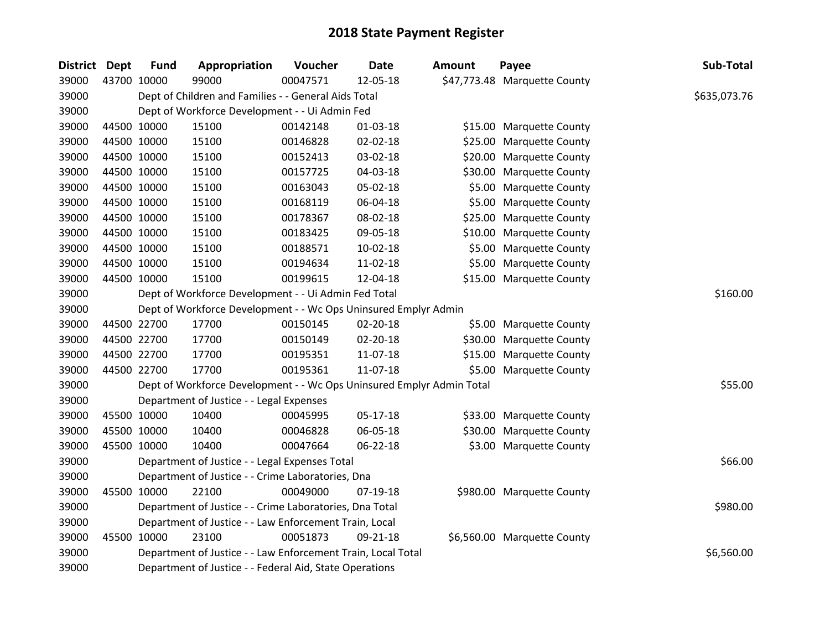| District Dept |             | <b>Fund</b> | Appropriation                                                         | Voucher  | Date           | Amount | Payee                        | Sub-Total    |
|---------------|-------------|-------------|-----------------------------------------------------------------------|----------|----------------|--------|------------------------------|--------------|
| 39000         | 43700 10000 |             | 99000                                                                 | 00047571 | 12-05-18       |        | \$47,773.48 Marquette County |              |
| 39000         |             |             | Dept of Children and Families - - General Aids Total                  |          |                |        |                              | \$635,073.76 |
| 39000         |             |             | Dept of Workforce Development - - Ui Admin Fed                        |          |                |        |                              |              |
| 39000         | 44500 10000 |             | 15100                                                                 | 00142148 | 01-03-18       |        | \$15.00 Marquette County     |              |
| 39000         |             | 44500 10000 | 15100                                                                 | 00146828 | 02-02-18       |        | \$25.00 Marquette County     |              |
| 39000         |             | 44500 10000 | 15100                                                                 | 00152413 | 03-02-18       |        | \$20.00 Marquette County     |              |
| 39000         | 44500 10000 |             | 15100                                                                 | 00157725 | 04-03-18       |        | \$30.00 Marquette County     |              |
| 39000         | 44500 10000 |             | 15100                                                                 | 00163043 | 05-02-18       |        | \$5.00 Marquette County      |              |
| 39000         | 44500 10000 |             | 15100                                                                 | 00168119 | 06-04-18       |        | \$5.00 Marquette County      |              |
| 39000         | 44500 10000 |             | 15100                                                                 | 00178367 | 08-02-18       |        | \$25.00 Marquette County     |              |
| 39000         |             | 44500 10000 | 15100                                                                 | 00183425 | 09-05-18       |        | \$10.00 Marquette County     |              |
| 39000         | 44500 10000 |             | 15100                                                                 | 00188571 | 10-02-18       |        | \$5.00 Marquette County      |              |
| 39000         | 44500 10000 |             | 15100                                                                 | 00194634 | 11-02-18       |        | \$5.00 Marquette County      |              |
| 39000         | 44500 10000 |             | 15100                                                                 | 00199615 | 12-04-18       |        | \$15.00 Marquette County     |              |
| 39000         |             |             | Dept of Workforce Development - - Ui Admin Fed Total                  | \$160.00 |                |        |                              |              |
| 39000         |             |             | Dept of Workforce Development - - Wc Ops Uninsured Emplyr Admin       |          |                |        |                              |              |
| 39000         | 44500 22700 |             | 17700                                                                 | 00150145 | $02 - 20 - 18$ |        | \$5.00 Marquette County      |              |
| 39000         | 44500 22700 |             | 17700                                                                 | 00150149 | 02-20-18       |        | \$30.00 Marquette County     |              |
| 39000         | 44500 22700 |             | 17700                                                                 | 00195351 | 11-07-18       |        | \$15.00 Marquette County     |              |
| 39000         | 44500 22700 |             | 17700                                                                 | 00195361 | 11-07-18       |        | \$5.00 Marquette County      |              |
| 39000         |             |             | Dept of Workforce Development - - Wc Ops Uninsured Emplyr Admin Total |          |                |        |                              | \$55.00      |
| 39000         |             |             | Department of Justice - - Legal Expenses                              |          |                |        |                              |              |
| 39000         | 45500 10000 |             | 10400                                                                 | 00045995 | 05-17-18       |        | \$33.00 Marquette County     |              |
| 39000         |             | 45500 10000 | 10400                                                                 | 00046828 | 06-05-18       |        | \$30.00 Marquette County     |              |
| 39000         | 45500 10000 |             | 10400                                                                 | 00047664 | 06-22-18       |        | \$3.00 Marquette County      |              |
| 39000         |             |             | Department of Justice - - Legal Expenses Total                        |          |                |        |                              | \$66.00      |
| 39000         |             |             | Department of Justice - - Crime Laboratories, Dna                     |          |                |        |                              |              |
| 39000         | 45500 10000 |             | 22100                                                                 | 00049000 | 07-19-18       |        | \$980.00 Marquette County    |              |
| 39000         |             |             | Department of Justice - - Crime Laboratories, Dna Total               |          |                |        |                              | \$980.00     |
| 39000         |             |             | Department of Justice - - Law Enforcement Train, Local                |          |                |        |                              |              |
| 39000         |             | 45500 10000 | 23100                                                                 | 00051873 | 09-21-18       |        | \$6,560.00 Marquette County  |              |
| 39000         |             |             | Department of Justice - - Law Enforcement Train, Local Total          |          |                |        |                              | \$6,560.00   |
| 39000         |             |             | Department of Justice - - Federal Aid, State Operations               |          |                |        |                              |              |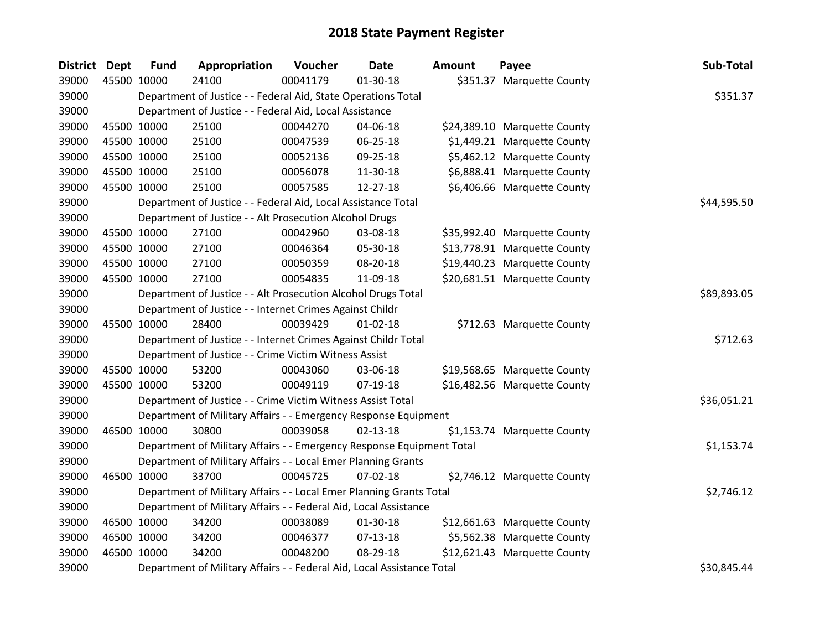| <b>District Dept</b> |             | <b>Fund</b>                                                   | Appropriation                                                          | Voucher  | <b>Date</b>    | <b>Amount</b> | Payee                        | Sub-Total   |
|----------------------|-------------|---------------------------------------------------------------|------------------------------------------------------------------------|----------|----------------|---------------|------------------------------|-------------|
| 39000                | 45500 10000 |                                                               | 24100                                                                  | 00041179 | $01 - 30 - 18$ |               | \$351.37 Marquette County    |             |
| 39000                |             |                                                               | Department of Justice - - Federal Aid, State Operations Total          |          |                |               |                              | \$351.37    |
| 39000                |             |                                                               | Department of Justice - - Federal Aid, Local Assistance                |          |                |               |                              |             |
| 39000                | 45500 10000 |                                                               | 25100                                                                  | 00044270 | 04-06-18       |               | \$24,389.10 Marquette County |             |
| 39000                | 45500 10000 |                                                               | 25100                                                                  | 00047539 | 06-25-18       |               | \$1,449.21 Marquette County  |             |
| 39000                | 45500 10000 |                                                               | 25100                                                                  | 00052136 | 09-25-18       |               | \$5,462.12 Marquette County  |             |
| 39000                | 45500 10000 |                                                               | 25100                                                                  | 00056078 | 11-30-18       |               | \$6,888.41 Marquette County  |             |
| 39000                | 45500 10000 |                                                               | 25100                                                                  | 00057585 | 12-27-18       |               | \$6,406.66 Marquette County  |             |
| 39000                |             |                                                               | Department of Justice - - Federal Aid, Local Assistance Total          |          |                |               |                              | \$44,595.50 |
| 39000                |             |                                                               | Department of Justice - - Alt Prosecution Alcohol Drugs                |          |                |               |                              |             |
| 39000                | 45500 10000 |                                                               | 27100                                                                  | 00042960 | 03-08-18       |               | \$35,992.40 Marquette County |             |
| 39000                | 45500 10000 |                                                               | 27100                                                                  | 00046364 | 05-30-18       |               | \$13,778.91 Marquette County |             |
| 39000                | 45500 10000 |                                                               | 27100                                                                  | 00050359 | 08-20-18       |               | \$19,440.23 Marquette County |             |
| 39000                | 45500 10000 |                                                               | 27100                                                                  | 00054835 | 11-09-18       |               | \$20,681.51 Marquette County |             |
| 39000                |             | Department of Justice - - Alt Prosecution Alcohol Drugs Total | \$89,893.05                                                            |          |                |               |                              |             |
| 39000                |             | Department of Justice - - Internet Crimes Against Childr      |                                                                        |          |                |               |                              |             |
| 39000                | 45500 10000 |                                                               | 28400                                                                  | 00039429 | $01 - 02 - 18$ |               | \$712.63 Marquette County    |             |
| 39000                |             |                                                               | Department of Justice - - Internet Crimes Against Childr Total         |          |                |               |                              | \$712.63    |
| 39000                |             |                                                               | Department of Justice - - Crime Victim Witness Assist                  |          |                |               |                              |             |
| 39000                | 45500 10000 |                                                               | 53200                                                                  | 00043060 | 03-06-18       |               | \$19,568.65 Marquette County |             |
| 39000                | 45500 10000 |                                                               | 53200                                                                  | 00049119 | 07-19-18       |               | \$16,482.56 Marquette County |             |
| 39000                |             |                                                               | Department of Justice - - Crime Victim Witness Assist Total            |          |                |               |                              | \$36,051.21 |
| 39000                |             |                                                               | Department of Military Affairs - - Emergency Response Equipment        |          |                |               |                              |             |
| 39000                | 46500 10000 |                                                               | 30800                                                                  | 00039058 | 02-13-18       |               | \$1,153.74 Marquette County  |             |
| 39000                |             |                                                               | Department of Military Affairs - - Emergency Response Equipment Total  |          |                |               |                              | \$1,153.74  |
| 39000                |             |                                                               | Department of Military Affairs - - Local Emer Planning Grants          |          |                |               |                              |             |
| 39000                | 46500 10000 |                                                               | 33700                                                                  | 00045725 | 07-02-18       |               | \$2,746.12 Marquette County  |             |
| 39000                |             |                                                               | Department of Military Affairs - - Local Emer Planning Grants Total    |          |                |               |                              | \$2,746.12  |
| 39000                |             |                                                               | Department of Military Affairs - - Federal Aid, Local Assistance       |          |                |               |                              |             |
| 39000                | 46500 10000 |                                                               | 34200                                                                  | 00038089 | 01-30-18       |               | \$12,661.63 Marquette County |             |
| 39000                | 46500 10000 |                                                               | 34200                                                                  | 00046377 | $07 - 13 - 18$ |               | \$5,562.38 Marquette County  |             |
| 39000                | 46500 10000 |                                                               | 34200                                                                  | 00048200 | 08-29-18       |               | \$12,621.43 Marquette County |             |
| 39000                |             |                                                               | Department of Military Affairs - - Federal Aid, Local Assistance Total |          |                |               |                              | \$30,845.44 |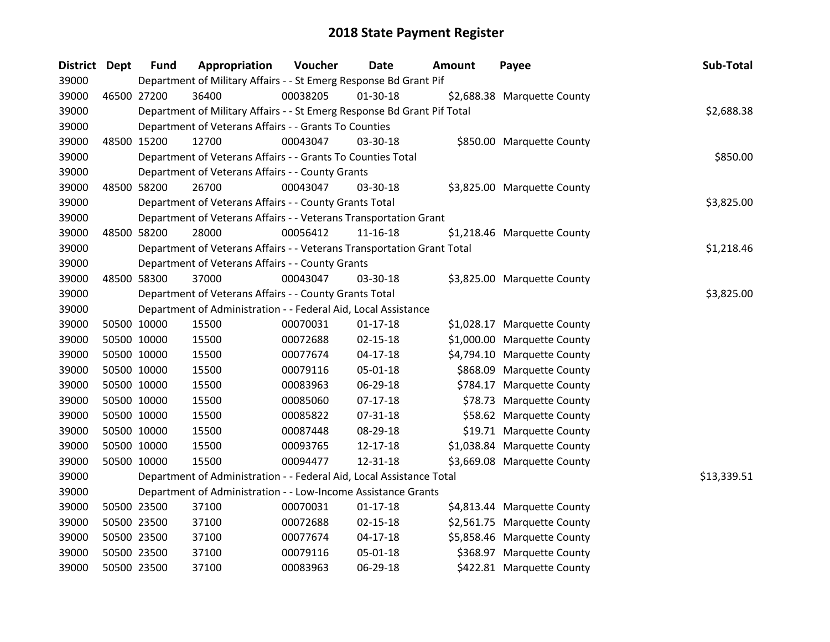| District Dept |             | <b>Fund</b> | Appropriation                                                           | Voucher    | <b>Date</b>    | Amount | Payee                       | Sub-Total   |
|---------------|-------------|-------------|-------------------------------------------------------------------------|------------|----------------|--------|-----------------------------|-------------|
| 39000         |             |             | Department of Military Affairs - - St Emerg Response Bd Grant Pif       |            |                |        |                             |             |
| 39000         |             | 46500 27200 | 36400                                                                   | 00038205   | $01-30-18$     |        | \$2,688.38 Marquette County |             |
| 39000         |             |             | Department of Military Affairs - - St Emerg Response Bd Grant Pif Total |            |                |        |                             | \$2,688.38  |
| 39000         |             |             | Department of Veterans Affairs - - Grants To Counties                   |            |                |        |                             |             |
| 39000         | 48500 15200 |             | 12700                                                                   | 00043047   | 03-30-18       |        | \$850.00 Marquette County   |             |
| 39000         |             |             | Department of Veterans Affairs - - Grants To Counties Total             |            |                |        |                             | \$850.00    |
| 39000         |             |             | Department of Veterans Affairs - - County Grants                        |            |                |        |                             |             |
| 39000         |             | 48500 58200 | 26700                                                                   | 00043047   | 03-30-18       |        | \$3,825.00 Marquette County |             |
| 39000         |             |             | Department of Veterans Affairs - - County Grants Total                  |            |                |        |                             | \$3,825.00  |
| 39000         |             |             | Department of Veterans Affairs - - Veterans Transportation Grant        |            |                |        |                             |             |
| 39000         |             | 48500 58200 | 28000                                                                   | 00056412   | 11-16-18       |        | \$1,218.46 Marquette County |             |
| 39000         |             |             | Department of Veterans Affairs - - Veterans Transportation Grant Total  |            |                |        |                             | \$1,218.46  |
| 39000         |             |             | Department of Veterans Affairs - - County Grants                        |            |                |        |                             |             |
| 39000         |             | 48500 58300 | 37000                                                                   | 00043047   | 03-30-18       |        | \$3,825.00 Marquette County |             |
| 39000         |             |             | Department of Veterans Affairs - - County Grants Total                  | \$3,825.00 |                |        |                             |             |
| 39000         |             |             | Department of Administration - - Federal Aid, Local Assistance          |            |                |        |                             |             |
| 39000         |             | 50500 10000 | 15500                                                                   | 00070031   | $01-17-18$     |        | \$1,028.17 Marquette County |             |
| 39000         |             | 50500 10000 | 15500                                                                   | 00072688   | 02-15-18       |        | \$1,000.00 Marquette County |             |
| 39000         |             | 50500 10000 | 15500                                                                   | 00077674   | $04-17-18$     |        | \$4,794.10 Marquette County |             |
| 39000         |             | 50500 10000 | 15500                                                                   | 00079116   | 05-01-18       |        | \$868.09 Marquette County   |             |
| 39000         |             | 50500 10000 | 15500                                                                   | 00083963   | 06-29-18       |        | \$784.17 Marquette County   |             |
| 39000         |             | 50500 10000 | 15500                                                                   | 00085060   | $07-17-18$     |        | \$78.73 Marquette County    |             |
| 39000         |             | 50500 10000 | 15500                                                                   | 00085822   | 07-31-18       |        | \$58.62 Marquette County    |             |
| 39000         |             | 50500 10000 | 15500                                                                   | 00087448   | 08-29-18       |        | \$19.71 Marquette County    |             |
| 39000         |             | 50500 10000 | 15500                                                                   | 00093765   | 12-17-18       |        | \$1,038.84 Marquette County |             |
| 39000         |             | 50500 10000 | 15500                                                                   | 00094477   | 12-31-18       |        | \$3,669.08 Marquette County |             |
| 39000         |             |             | Department of Administration - - Federal Aid, Local Assistance Total    |            |                |        |                             | \$13,339.51 |
| 39000         |             |             | Department of Administration - - Low-Income Assistance Grants           |            |                |        |                             |             |
| 39000         |             | 50500 23500 | 37100                                                                   | 00070031   | $01-17-18$     |        | \$4,813.44 Marquette County |             |
| 39000         |             | 50500 23500 | 37100                                                                   | 00072688   | $02 - 15 - 18$ |        | \$2,561.75 Marquette County |             |
| 39000         |             | 50500 23500 | 37100                                                                   | 00077674   | $04-17-18$     |        | \$5,858.46 Marquette County |             |
| 39000         |             | 50500 23500 | 37100                                                                   | 00079116   | 05-01-18       |        | \$368.97 Marquette County   |             |
| 39000         |             | 50500 23500 | 37100                                                                   | 00083963   | 06-29-18       |        | \$422.81 Marquette County   |             |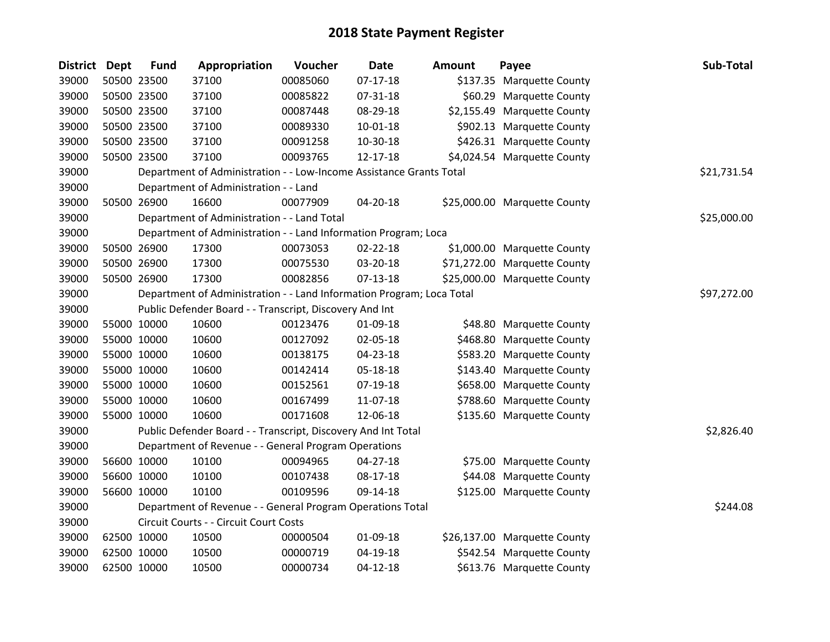| <b>District</b> | <b>Dept</b> | <b>Fund</b> | Appropriation                                                         | Voucher  | <b>Date</b>    | <b>Amount</b> | Payee                        | Sub-Total   |
|-----------------|-------------|-------------|-----------------------------------------------------------------------|----------|----------------|---------------|------------------------------|-------------|
| 39000           | 50500 23500 |             | 37100                                                                 | 00085060 | $07-17-18$     |               | \$137.35 Marquette County    |             |
| 39000           | 50500 23500 |             | 37100                                                                 | 00085822 | 07-31-18       |               | \$60.29 Marquette County     |             |
| 39000           | 50500 23500 |             | 37100                                                                 | 00087448 | 08-29-18       |               | \$2,155.49 Marquette County  |             |
| 39000           | 50500 23500 |             | 37100                                                                 | 00089330 | $10 - 01 - 18$ |               | \$902.13 Marquette County    |             |
| 39000           | 50500 23500 |             | 37100                                                                 | 00091258 | 10-30-18       |               | \$426.31 Marquette County    |             |
| 39000           | 50500 23500 |             | 37100                                                                 | 00093765 | $12 - 17 - 18$ |               | \$4,024.54 Marquette County  |             |
| 39000           |             |             | Department of Administration - - Low-Income Assistance Grants Total   |          |                |               |                              | \$21,731.54 |
| 39000           |             |             | Department of Administration - - Land                                 |          |                |               |                              |             |
| 39000           | 50500 26900 |             | 16600                                                                 | 00077909 | 04-20-18       |               | \$25,000.00 Marquette County |             |
| 39000           |             |             | Department of Administration - - Land Total                           |          |                |               |                              | \$25,000.00 |
| 39000           |             |             | Department of Administration - - Land Information Program; Loca       |          |                |               |                              |             |
| 39000           | 50500 26900 |             | 17300                                                                 | 00073053 | 02-22-18       |               | \$1,000.00 Marquette County  |             |
| 39000           | 50500 26900 |             | 17300                                                                 | 00075530 | 03-20-18       |               | \$71,272.00 Marquette County |             |
| 39000           | 50500 26900 |             | 17300                                                                 | 00082856 | $07-13-18$     |               | \$25,000.00 Marquette County |             |
| 39000           |             |             | Department of Administration - - Land Information Program; Loca Total |          |                |               |                              | \$97,272.00 |
| 39000           |             |             | Public Defender Board - - Transcript, Discovery And Int               |          |                |               |                              |             |
| 39000           | 55000 10000 |             | 10600                                                                 | 00123476 | 01-09-18       |               | \$48.80 Marquette County     |             |
| 39000           | 55000 10000 |             | 10600                                                                 | 00127092 | 02-05-18       |               | \$468.80 Marquette County    |             |
| 39000           | 55000 10000 |             | 10600                                                                 | 00138175 | 04-23-18       |               | \$583.20 Marquette County    |             |
| 39000           | 55000 10000 |             | 10600                                                                 | 00142414 | 05-18-18       |               | \$143.40 Marquette County    |             |
| 39000           | 55000 10000 |             | 10600                                                                 | 00152561 | 07-19-18       |               | \$658.00 Marquette County    |             |
| 39000           | 55000 10000 |             | 10600                                                                 | 00167499 | 11-07-18       |               | \$788.60 Marquette County    |             |
| 39000           | 55000 10000 |             | 10600                                                                 | 00171608 | 12-06-18       |               | \$135.60 Marquette County    |             |
| 39000           |             |             | Public Defender Board - - Transcript, Discovery And Int Total         |          |                |               |                              | \$2,826.40  |
| 39000           |             |             | Department of Revenue - - General Program Operations                  |          |                |               |                              |             |
| 39000           | 56600 10000 |             | 10100                                                                 | 00094965 | 04-27-18       |               | \$75.00 Marquette County     |             |
| 39000           | 56600 10000 |             | 10100                                                                 | 00107438 | 08-17-18       |               | \$44.08 Marquette County     |             |
| 39000           | 56600 10000 |             | 10100                                                                 | 00109596 | 09-14-18       |               | \$125.00 Marquette County    |             |
| 39000           |             |             | Department of Revenue - - General Program Operations Total            |          |                |               |                              | \$244.08    |
| 39000           |             |             | Circuit Courts - - Circuit Court Costs                                |          |                |               |                              |             |
| 39000           | 62500 10000 |             | 10500                                                                 | 00000504 | 01-09-18       |               | \$26,137.00 Marquette County |             |
| 39000           | 62500 10000 |             | 10500                                                                 | 00000719 | 04-19-18       |               | \$542.54 Marquette County    |             |
| 39000           | 62500 10000 |             | 10500                                                                 | 00000734 | 04-12-18       |               | \$613.76 Marquette County    |             |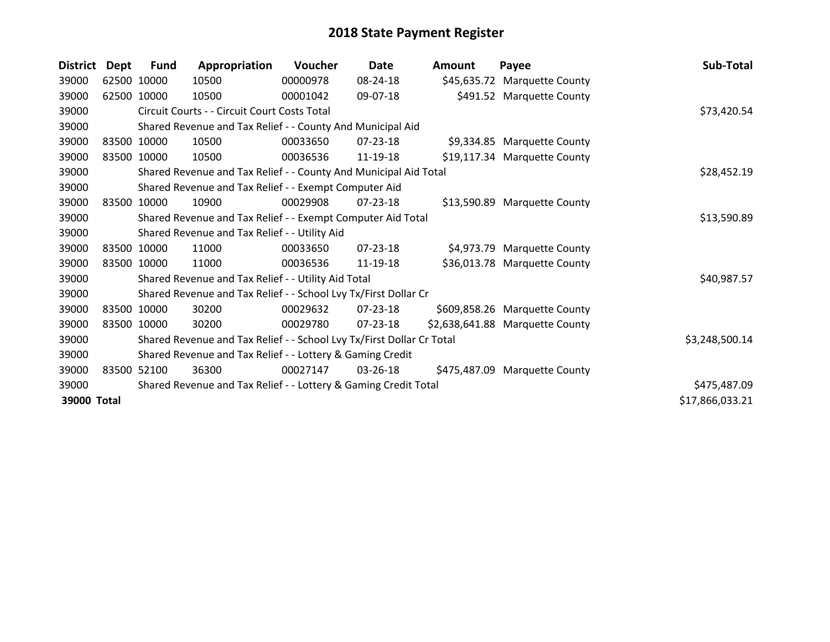| <b>District</b> | Dept        | <b>Fund</b> | Appropriation                                                         | Voucher  | Date           | <b>Amount</b> | Payee                           | Sub-Total       |
|-----------------|-------------|-------------|-----------------------------------------------------------------------|----------|----------------|---------------|---------------------------------|-----------------|
| 39000           |             | 62500 10000 | 10500                                                                 | 00000978 | 08-24-18       |               | \$45,635.72 Marquette County    |                 |
| 39000           | 62500       | 10000       | 10500                                                                 | 00001042 | 09-07-18       |               | \$491.52 Marquette County       |                 |
| 39000           |             |             | Circuit Courts - - Circuit Court Costs Total                          |          |                |               |                                 | \$73,420.54     |
| 39000           |             |             | Shared Revenue and Tax Relief - - County And Municipal Aid            |          |                |               |                                 |                 |
| 39000           |             | 83500 10000 | 10500                                                                 | 00033650 | 07-23-18       |               | \$9,334.85 Marquette County     |                 |
| 39000           |             | 83500 10000 | 10500                                                                 | 00036536 | 11-19-18       |               | \$19,117.34 Marquette County    |                 |
| 39000           |             |             | Shared Revenue and Tax Relief - - County And Municipal Aid Total      |          | \$28,452.19    |               |                                 |                 |
| 39000           |             |             | Shared Revenue and Tax Relief - - Exempt Computer Aid                 |          |                |               |                                 |                 |
| 39000           | 83500       | 10000       | 10900                                                                 | 00029908 | 07-23-18       |               | \$13,590.89 Marquette County    |                 |
| 39000           |             |             | Shared Revenue and Tax Relief - - Exempt Computer Aid Total           |          |                |               |                                 | \$13,590.89     |
| 39000           |             |             | Shared Revenue and Tax Relief - - Utility Aid                         |          |                |               |                                 |                 |
| 39000           |             | 83500 10000 | 11000                                                                 | 00033650 | $07 - 23 - 18$ |               | \$4,973.79 Marquette County     |                 |
| 39000           | 83500 10000 |             | 11000                                                                 | 00036536 | 11-19-18       |               | \$36,013.78 Marquette County    |                 |
| 39000           |             |             | Shared Revenue and Tax Relief - - Utility Aid Total                   |          |                |               |                                 | \$40,987.57     |
| 39000           |             |             | Shared Revenue and Tax Relief - - School Lvy Tx/First Dollar Cr       |          |                |               |                                 |                 |
| 39000           | 83500       | 10000       | 30200                                                                 | 00029632 | 07-23-18       |               | \$609,858.26 Marquette County   |                 |
| 39000           | 83500 10000 |             | 30200                                                                 | 00029780 | 07-23-18       |               | \$2,638,641.88 Marquette County |                 |
| 39000           |             |             | Shared Revenue and Tax Relief - - School Lvy Tx/First Dollar Cr Total |          |                |               |                                 | \$3,248,500.14  |
| 39000           |             |             | Shared Revenue and Tax Relief - - Lottery & Gaming Credit             |          |                |               |                                 |                 |
| 39000           |             | 83500 52100 | 36300                                                                 | 00027147 | 03-26-18       |               | \$475,487.09 Marquette County   |                 |
| 39000           |             |             | Shared Revenue and Tax Relief - - Lottery & Gaming Credit Total       |          |                |               |                                 | \$475,487.09    |
| 39000 Total     |             |             |                                                                       |          |                |               |                                 | \$17,866,033.21 |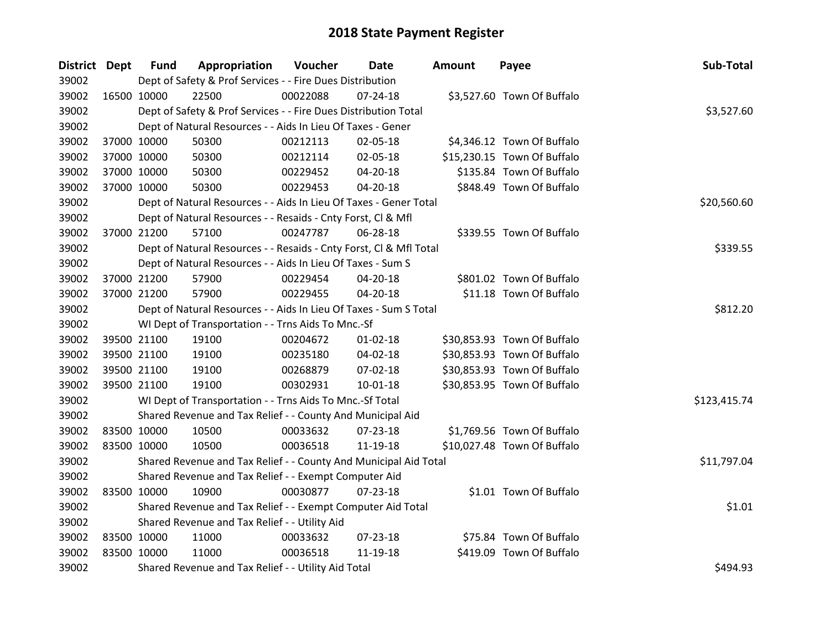| District Dept |             | <b>Fund</b> | Appropriation                                                      | Voucher  | Date           | <b>Amount</b> | Payee                       | Sub-Total    |
|---------------|-------------|-------------|--------------------------------------------------------------------|----------|----------------|---------------|-----------------------------|--------------|
| 39002         |             |             | Dept of Safety & Prof Services - - Fire Dues Distribution          |          |                |               |                             |              |
| 39002         | 16500 10000 |             | 22500                                                              | 00022088 | $07 - 24 - 18$ |               | \$3,527.60 Town Of Buffalo  |              |
| 39002         |             |             | Dept of Safety & Prof Services - - Fire Dues Distribution Total    |          |                |               |                             | \$3,527.60   |
| 39002         |             |             | Dept of Natural Resources - - Aids In Lieu Of Taxes - Gener        |          |                |               |                             |              |
| 39002         |             | 37000 10000 | 50300                                                              | 00212113 | 02-05-18       |               | \$4,346.12 Town Of Buffalo  |              |
| 39002         | 37000 10000 |             | 50300                                                              | 00212114 | 02-05-18       |               | \$15,230.15 Town Of Buffalo |              |
| 39002         |             | 37000 10000 | 50300                                                              | 00229452 | 04-20-18       |               | \$135.84 Town Of Buffalo    |              |
| 39002         | 37000 10000 |             | 50300                                                              | 00229453 | 04-20-18       |               | \$848.49 Town Of Buffalo    |              |
| 39002         |             |             | Dept of Natural Resources - - Aids In Lieu Of Taxes - Gener Total  |          |                |               |                             | \$20,560.60  |
| 39002         |             |             | Dept of Natural Resources - - Resaids - Cnty Forst, CI & Mfl       |          |                |               |                             |              |
| 39002         | 37000 21200 |             | 57100                                                              | 00247787 | 06-28-18       |               | \$339.55 Town Of Buffalo    |              |
| 39002         |             |             | Dept of Natural Resources - - Resaids - Cnty Forst, Cl & Mfl Total |          |                |               |                             | \$339.55     |
| 39002         |             |             | Dept of Natural Resources - - Aids In Lieu Of Taxes - Sum S        |          |                |               |                             |              |
| 39002         |             | 37000 21200 | 57900                                                              | 00229454 | 04-20-18       |               | \$801.02 Town Of Buffalo    |              |
| 39002         |             | 37000 21200 | 57900                                                              | 00229455 | 04-20-18       |               | \$11.18 Town Of Buffalo     |              |
| 39002         |             |             | Dept of Natural Resources - - Aids In Lieu Of Taxes - Sum S Total  |          |                |               |                             | \$812.20     |
| 39002         |             |             | WI Dept of Transportation - - Trns Aids To Mnc.-Sf                 |          |                |               |                             |              |
| 39002         |             | 39500 21100 | 19100                                                              | 00204672 | $01 - 02 - 18$ |               | \$30,853.93 Town Of Buffalo |              |
| 39002         |             | 39500 21100 | 19100                                                              | 00235180 | $04 - 02 - 18$ |               | \$30,853.93 Town Of Buffalo |              |
| 39002         |             | 39500 21100 | 19100                                                              | 00268879 | 07-02-18       |               | \$30,853.93 Town Of Buffalo |              |
| 39002         |             | 39500 21100 | 19100                                                              | 00302931 | 10-01-18       |               | \$30,853.95 Town Of Buffalo |              |
| 39002         |             |             | WI Dept of Transportation - - Trns Aids To Mnc.-Sf Total           |          |                |               |                             | \$123,415.74 |
| 39002         |             |             | Shared Revenue and Tax Relief - - County And Municipal Aid         |          |                |               |                             |              |
| 39002         |             | 83500 10000 | 10500                                                              | 00033632 | 07-23-18       |               | \$1,769.56 Town Of Buffalo  |              |
| 39002         | 83500 10000 |             | 10500                                                              | 00036518 | 11-19-18       |               | \$10,027.48 Town Of Buffalo |              |
| 39002         |             |             | Shared Revenue and Tax Relief - - County And Municipal Aid Total   |          |                |               |                             | \$11,797.04  |
| 39002         |             |             | Shared Revenue and Tax Relief - - Exempt Computer Aid              |          |                |               |                             |              |
| 39002         | 83500 10000 |             | 10900                                                              | 00030877 | $07 - 23 - 18$ |               | \$1.01 Town Of Buffalo      |              |
| 39002         |             |             | Shared Revenue and Tax Relief - - Exempt Computer Aid Total        |          |                |               |                             | \$1.01       |
| 39002         |             |             | Shared Revenue and Tax Relief - - Utility Aid                      |          |                |               |                             |              |
| 39002         | 83500 10000 |             | 11000                                                              | 00033632 | 07-23-18       |               | \$75.84 Town Of Buffalo     |              |
| 39002         | 83500 10000 |             | 11000                                                              | 00036518 | 11-19-18       |               | \$419.09 Town Of Buffalo    |              |
| 39002         |             |             | Shared Revenue and Tax Relief - - Utility Aid Total                |          |                |               |                             | \$494.93     |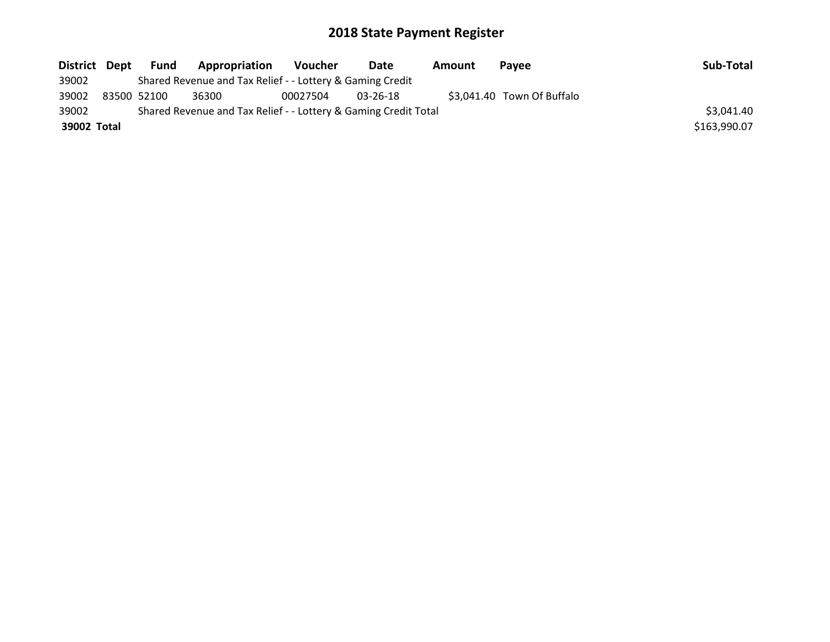| District Dept |             | Fund | Appropriation                                                   | <b>Voucher</b> | Date     | Amount | <b>Pavee</b>               | Sub-Total    |
|---------------|-------------|------|-----------------------------------------------------------------|----------------|----------|--------|----------------------------|--------------|
| 39002         |             |      | Shared Revenue and Tax Relief - - Lottery & Gaming Credit       |                |          |        |                            |              |
| 39002         | 83500 52100 |      | 36300                                                           | 00027504       | 03-26-18 |        | \$3,041.40 Town Of Buffalo |              |
| 39002         |             |      | Shared Revenue and Tax Relief - - Lottery & Gaming Credit Total |                |          |        |                            | \$3,041.40   |
| 39002 Total   |             |      |                                                                 |                |          |        |                            | \$163,990.07 |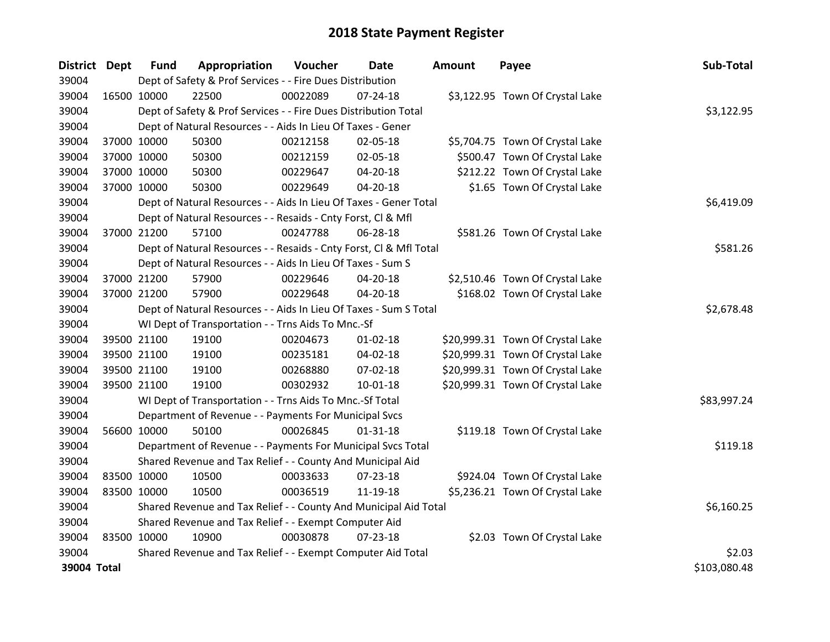| <b>District Dept</b> |             | <b>Fund</b> | Appropriation                                                      | Voucher  | <b>Date</b>    | Amount | Payee                            | Sub-Total    |
|----------------------|-------------|-------------|--------------------------------------------------------------------|----------|----------------|--------|----------------------------------|--------------|
| 39004                |             |             | Dept of Safety & Prof Services - - Fire Dues Distribution          |          |                |        |                                  |              |
| 39004                | 16500 10000 |             | 22500                                                              | 00022089 | $07 - 24 - 18$ |        | \$3,122.95 Town Of Crystal Lake  |              |
| 39004                |             |             | Dept of Safety & Prof Services - - Fire Dues Distribution Total    |          |                |        |                                  | \$3,122.95   |
| 39004                |             |             | Dept of Natural Resources - - Aids In Lieu Of Taxes - Gener        |          |                |        |                                  |              |
| 39004                | 37000 10000 |             | 50300                                                              | 00212158 | 02-05-18       |        | \$5,704.75 Town Of Crystal Lake  |              |
| 39004                | 37000 10000 |             | 50300                                                              | 00212159 | 02-05-18       |        | \$500.47 Town Of Crystal Lake    |              |
| 39004                | 37000 10000 |             | 50300                                                              | 00229647 | 04-20-18       |        | \$212.22 Town Of Crystal Lake    |              |
| 39004                | 37000 10000 |             | 50300                                                              | 00229649 | $04 - 20 - 18$ |        | \$1.65 Town Of Crystal Lake      |              |
| 39004                |             |             | Dept of Natural Resources - - Aids In Lieu Of Taxes - Gener Total  |          |                |        |                                  | \$6,419.09   |
| 39004                |             |             | Dept of Natural Resources - - Resaids - Cnty Forst, Cl & Mfl       |          |                |        |                                  |              |
| 39004                | 37000 21200 |             | 57100                                                              | 00247788 | 06-28-18       |        | \$581.26 Town Of Crystal Lake    |              |
| 39004                |             |             | Dept of Natural Resources - - Resaids - Cnty Forst, Cl & Mfl Total |          |                |        |                                  | \$581.26     |
| 39004                |             |             | Dept of Natural Resources - - Aids In Lieu Of Taxes - Sum S        |          |                |        |                                  |              |
| 39004                | 37000 21200 |             | 57900                                                              | 00229646 | 04-20-18       |        | \$2,510.46 Town Of Crystal Lake  |              |
| 39004                | 37000 21200 |             | 57900                                                              | 00229648 | 04-20-18       |        | \$168.02 Town Of Crystal Lake    |              |
| 39004                |             |             | Dept of Natural Resources - - Aids In Lieu Of Taxes - Sum S Total  |          |                |        |                                  | \$2,678.48   |
| 39004                |             |             | WI Dept of Transportation - - Trns Aids To Mnc.-Sf                 |          |                |        |                                  |              |
| 39004                | 39500 21100 |             | 19100                                                              | 00204673 | $01 - 02 - 18$ |        | \$20,999.31 Town Of Crystal Lake |              |
| 39004                | 39500 21100 |             | 19100                                                              | 00235181 | 04-02-18       |        | \$20,999.31 Town Of Crystal Lake |              |
| 39004                | 39500 21100 |             | 19100                                                              | 00268880 | 07-02-18       |        | \$20,999.31 Town Of Crystal Lake |              |
| 39004                | 39500 21100 |             | 19100                                                              | 00302932 | $10 - 01 - 18$ |        | \$20,999.31 Town Of Crystal Lake |              |
| 39004                |             |             | WI Dept of Transportation - - Trns Aids To Mnc.-Sf Total           |          |                |        |                                  | \$83,997.24  |
| 39004                |             |             | Department of Revenue - - Payments For Municipal Svcs              |          |                |        |                                  |              |
| 39004                | 56600 10000 |             | 50100                                                              | 00026845 | $01 - 31 - 18$ |        | \$119.18 Town Of Crystal Lake    |              |
| 39004                |             |             | Department of Revenue - - Payments For Municipal Svcs Total        |          |                |        |                                  | \$119.18     |
| 39004                |             |             | Shared Revenue and Tax Relief - - County And Municipal Aid         |          |                |        |                                  |              |
| 39004                | 83500 10000 |             | 10500                                                              | 00033633 | $07 - 23 - 18$ |        | \$924.04 Town Of Crystal Lake    |              |
| 39004                | 83500 10000 |             | 10500                                                              | 00036519 | 11-19-18       |        | \$5,236.21 Town Of Crystal Lake  |              |
| 39004                |             |             | Shared Revenue and Tax Relief - - County And Municipal Aid Total   |          |                |        |                                  | \$6,160.25   |
| 39004                |             |             | Shared Revenue and Tax Relief - - Exempt Computer Aid              |          |                |        |                                  |              |
| 39004                | 83500 10000 |             | 10900                                                              | 00030878 | $07 - 23 - 18$ |        | \$2.03 Town Of Crystal Lake      |              |
| 39004                |             |             | Shared Revenue and Tax Relief - - Exempt Computer Aid Total        |          |                |        |                                  | \$2.03       |
| 39004 Total          |             |             |                                                                    |          |                |        |                                  | \$103,080.48 |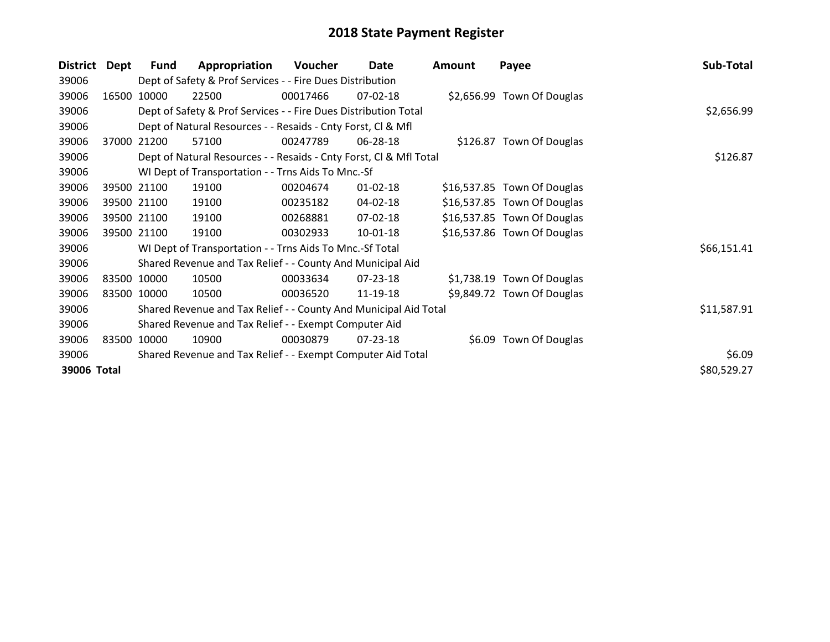| <b>District</b> | Dept        | <b>Fund</b>                                                 | Appropriation                                                      | Voucher    | Date           | <b>Amount</b> | Payee                       | Sub-Total   |
|-----------------|-------------|-------------------------------------------------------------|--------------------------------------------------------------------|------------|----------------|---------------|-----------------------------|-------------|
| 39006           |             |                                                             | Dept of Safety & Prof Services - - Fire Dues Distribution          |            |                |               |                             |             |
| 39006           | 16500       | 10000                                                       | 22500                                                              | 00017466   | 07-02-18       |               | \$2,656.99 Town Of Douglas  |             |
| 39006           |             |                                                             | Dept of Safety & Prof Services - - Fire Dues Distribution Total    | \$2,656.99 |                |               |                             |             |
| 39006           |             |                                                             | Dept of Natural Resources - - Resaids - Cnty Forst, CI & Mfl       |            |                |               |                             |             |
| 39006           | 37000       | 21200                                                       | 57100                                                              | 00247789   | 06-28-18       |               | \$126.87 Town Of Douglas    |             |
| 39006           |             |                                                             | Dept of Natural Resources - - Resaids - Cnty Forst, Cl & Mfl Total |            |                |               |                             | \$126.87    |
| 39006           |             |                                                             | WI Dept of Transportation - - Trns Aids To Mnc.-Sf                 |            |                |               |                             |             |
| 39006           |             | 39500 21100                                                 | 19100                                                              | 00204674   | $01 - 02 - 18$ |               | \$16,537.85 Town Of Douglas |             |
| 39006           |             | 39500 21100                                                 | 19100                                                              | 00235182   | 04-02-18       |               | \$16,537.85 Town Of Douglas |             |
| 39006           |             | 39500 21100                                                 | 19100                                                              | 00268881   | 07-02-18       |               | \$16,537.85 Town Of Douglas |             |
| 39006           |             | 39500 21100                                                 | 19100                                                              | 00302933   | 10-01-18       |               | \$16,537.86 Town Of Douglas |             |
| 39006           |             |                                                             | WI Dept of Transportation - - Trns Aids To Mnc.-Sf Total           |            |                |               |                             | \$66,151.41 |
| 39006           |             |                                                             | Shared Revenue and Tax Relief - - County And Municipal Aid         |            |                |               |                             |             |
| 39006           | 83500 10000 |                                                             | 10500                                                              | 00033634   | 07-23-18       |               | \$1,738.19 Town Of Douglas  |             |
| 39006           | 83500 10000 |                                                             | 10500                                                              | 00036520   | 11-19-18       |               | \$9,849.72 Town Of Douglas  |             |
| 39006           |             |                                                             | Shared Revenue and Tax Relief - - County And Municipal Aid Total   |            |                |               |                             | \$11,587.91 |
| 39006           |             |                                                             | Shared Revenue and Tax Relief - - Exempt Computer Aid              |            |                |               |                             |             |
| 39006           | 83500       | 10000                                                       | 10900                                                              | 00030879   | 07-23-18       |               | \$6.09 Town Of Douglas      |             |
| 39006           |             | Shared Revenue and Tax Relief - - Exempt Computer Aid Total | \$6.09                                                             |            |                |               |                             |             |
| 39006 Total     |             |                                                             |                                                                    |            |                |               |                             | \$80,529.27 |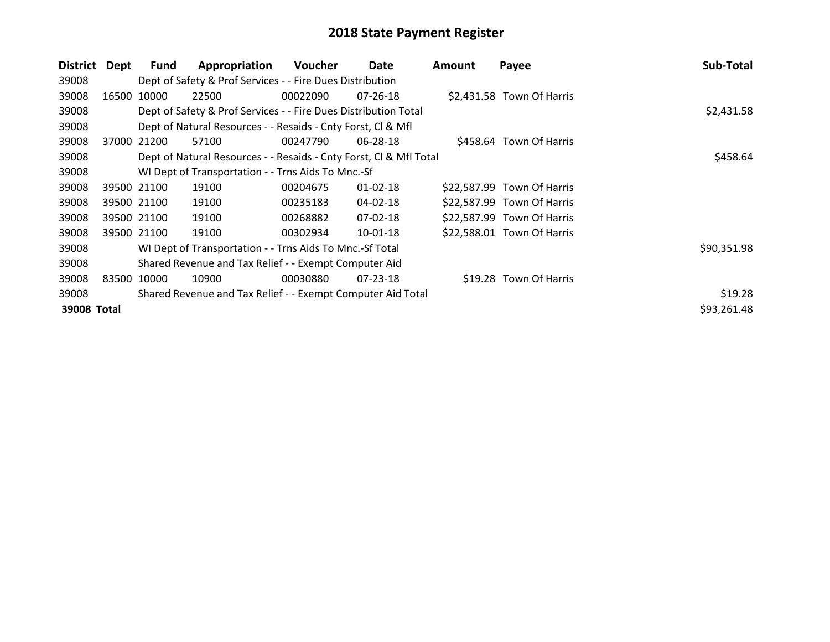| <b>District</b> | Dept        | Fund  | Appropriation                                                      | Voucher  | Date           | Amount | Payee                      | Sub-Total   |
|-----------------|-------------|-------|--------------------------------------------------------------------|----------|----------------|--------|----------------------------|-------------|
| 39008           |             |       | Dept of Safety & Prof Services - - Fire Dues Distribution          |          |                |        |                            |             |
| 39008           | 16500       | 10000 | 22500                                                              | 00022090 | $07 - 26 - 18$ |        | \$2,431.58 Town Of Harris  |             |
| 39008           |             |       | Dept of Safety & Prof Services - - Fire Dues Distribution Total    |          | \$2,431.58     |        |                            |             |
| 39008           |             |       | Dept of Natural Resources - - Resaids - Cnty Forst, CI & Mfl       |          |                |        |                            |             |
| 39008           | 37000       | 21200 | 57100                                                              | 00247790 | 06-28-18       |        | \$458.64 Town Of Harris    |             |
| 39008           |             |       | Dept of Natural Resources - - Resaids - Cnty Forst, CI & Mfl Total |          |                |        |                            | \$458.64    |
| 39008           |             |       | WI Dept of Transportation - - Trns Aids To Mnc.-Sf                 |          |                |        |                            |             |
| 39008           | 39500 21100 |       | 19100                                                              | 00204675 | $01 - 02 - 18$ |        | \$22,587.99 Town Of Harris |             |
| 39008           | 39500 21100 |       | 19100                                                              | 00235183 | 04-02-18       |        | \$22,587.99 Town Of Harris |             |
| 39008           | 39500 21100 |       | 19100                                                              | 00268882 | 07-02-18       |        | \$22,587.99 Town Of Harris |             |
| 39008           | 39500 21100 |       | 19100                                                              | 00302934 | $10-01-18$     |        | \$22,588.01 Town Of Harris |             |
| 39008           |             |       | WI Dept of Transportation - - Trns Aids To Mnc.-Sf Total           |          |                |        |                            | \$90,351.98 |
| 39008           |             |       | Shared Revenue and Tax Relief - - Exempt Computer Aid              |          |                |        |                            |             |
| 39008           | 83500       | 10000 | 10900                                                              | 00030880 | $07 - 23 - 18$ |        | \$19.28 Town Of Harris     |             |
| 39008           |             |       | Shared Revenue and Tax Relief - - Exempt Computer Aid Total        |          |                |        |                            | \$19.28     |
| 39008 Total     |             |       |                                                                    |          |                |        |                            | \$93,261.48 |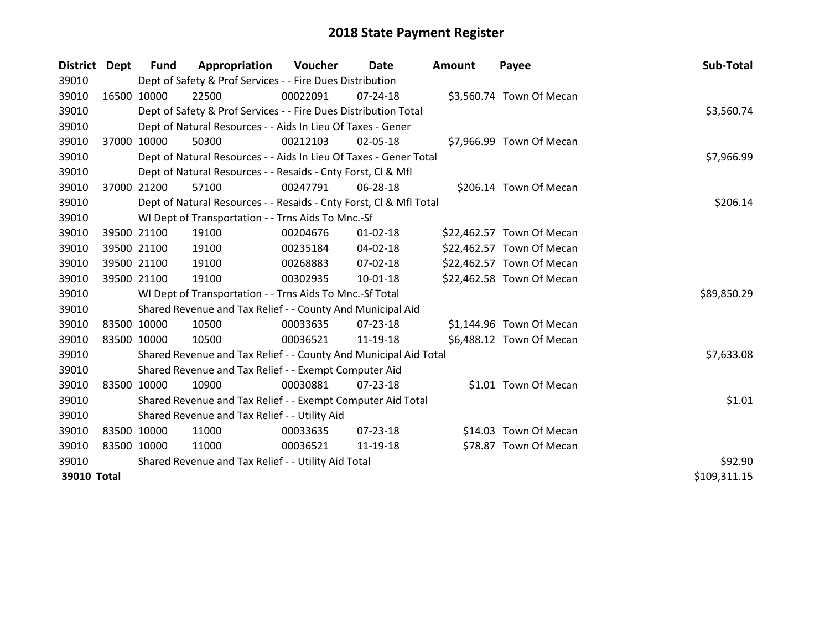| District Dept |             | <b>Fund</b> | Appropriation                                                      | Voucher    | Date           | <b>Amount</b> | Payee                     | Sub-Total    |
|---------------|-------------|-------------|--------------------------------------------------------------------|------------|----------------|---------------|---------------------------|--------------|
| 39010         |             |             | Dept of Safety & Prof Services - - Fire Dues Distribution          |            |                |               |                           |              |
| 39010         |             | 16500 10000 | 22500                                                              | 00022091   | $07 - 24 - 18$ |               | \$3,560.74 Town Of Mecan  |              |
| 39010         |             |             | Dept of Safety & Prof Services - - Fire Dues Distribution Total    |            |                |               |                           | \$3,560.74   |
| 39010         |             |             | Dept of Natural Resources - - Aids In Lieu Of Taxes - Gener        |            |                |               |                           |              |
| 39010         |             | 37000 10000 | 50300                                                              | 00212103   | 02-05-18       |               | \$7,966.99 Town Of Mecan  |              |
| 39010         |             |             | Dept of Natural Resources - - Aids In Lieu Of Taxes - Gener Total  | \$7,966.99 |                |               |                           |              |
| 39010         |             |             | Dept of Natural Resources - - Resaids - Cnty Forst, CI & Mfl       |            |                |               |                           |              |
| 39010         | 37000 21200 |             | 57100                                                              | 00247791   | 06-28-18       |               | \$206.14 Town Of Mecan    |              |
| 39010         |             |             | Dept of Natural Resources - - Resaids - Cnty Forst, Cl & Mfl Total |            |                |               |                           | \$206.14     |
| 39010         |             |             | WI Dept of Transportation - - Trns Aids To Mnc.-Sf                 |            |                |               |                           |              |
| 39010         |             | 39500 21100 | 19100                                                              | 00204676   | $01 - 02 - 18$ |               | \$22,462.57 Town Of Mecan |              |
| 39010         |             | 39500 21100 | 19100                                                              | 00235184   | $04 - 02 - 18$ |               | \$22,462.57 Town Of Mecan |              |
| 39010         | 39500 21100 |             | 19100                                                              | 00268883   | 07-02-18       |               | \$22,462.57 Town Of Mecan |              |
| 39010         | 39500 21100 |             | 19100                                                              | 00302935   | $10-01-18$     |               | \$22,462.58 Town Of Mecan |              |
| 39010         |             |             | WI Dept of Transportation - - Trns Aids To Mnc.-Sf Total           |            |                |               |                           | \$89,850.29  |
| 39010         |             |             | Shared Revenue and Tax Relief - - County And Municipal Aid         |            |                |               |                           |              |
| 39010         |             | 83500 10000 | 10500                                                              | 00033635   | 07-23-18       |               | \$1,144.96 Town Of Mecan  |              |
| 39010         |             | 83500 10000 | 10500                                                              | 00036521   | 11-19-18       |               | \$6,488.12 Town Of Mecan  |              |
| 39010         |             |             | Shared Revenue and Tax Relief - - County And Municipal Aid Total   |            |                |               |                           | \$7,633.08   |
| 39010         |             |             | Shared Revenue and Tax Relief - - Exempt Computer Aid              |            |                |               |                           |              |
| 39010         |             | 83500 10000 | 10900                                                              | 00030881   | 07-23-18       |               | \$1.01 Town Of Mecan      |              |
| 39010         |             |             | Shared Revenue and Tax Relief - - Exempt Computer Aid Total        |            |                |               |                           | \$1.01       |
| 39010         |             |             | Shared Revenue and Tax Relief - - Utility Aid                      |            |                |               |                           |              |
| 39010         |             | 83500 10000 | 11000                                                              | 00033635   | $07 - 23 - 18$ |               | \$14.03 Town Of Mecan     |              |
| 39010         | 83500 10000 |             | 11000                                                              | 00036521   | 11-19-18       |               | \$78.87 Town Of Mecan     |              |
| 39010         |             |             | Shared Revenue and Tax Relief - - Utility Aid Total                | \$92.90    |                |               |                           |              |
| 39010 Total   |             |             |                                                                    |            |                |               |                           | \$109,311.15 |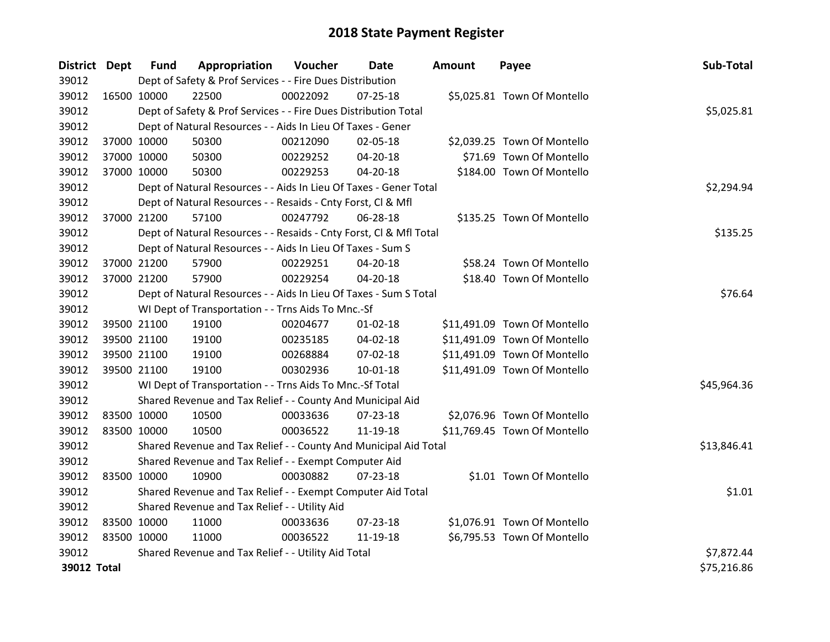| District Dept |             | <b>Fund</b> | Appropriation                                                      | Voucher  | Date           | <b>Amount</b> | Payee                        | Sub-Total   |
|---------------|-------------|-------------|--------------------------------------------------------------------|----------|----------------|---------------|------------------------------|-------------|
| 39012         |             |             | Dept of Safety & Prof Services - - Fire Dues Distribution          |          |                |               |                              |             |
| 39012         | 16500 10000 |             | 22500                                                              | 00022092 | $07 - 25 - 18$ |               | \$5,025.81 Town Of Montello  |             |
| 39012         |             |             | Dept of Safety & Prof Services - - Fire Dues Distribution Total    |          |                |               |                              | \$5,025.81  |
| 39012         |             |             | Dept of Natural Resources - - Aids In Lieu Of Taxes - Gener        |          |                |               |                              |             |
| 39012         | 37000 10000 |             | 50300                                                              | 00212090 | 02-05-18       |               | \$2,039.25 Town Of Montello  |             |
| 39012         | 37000 10000 |             | 50300                                                              | 00229252 | 04-20-18       |               | \$71.69 Town Of Montello     |             |
| 39012         | 37000 10000 |             | 50300                                                              | 00229253 | 04-20-18       |               | \$184.00 Town Of Montello    |             |
| 39012         |             |             | Dept of Natural Resources - - Aids In Lieu Of Taxes - Gener Total  |          | \$2,294.94     |               |                              |             |
| 39012         |             |             | Dept of Natural Resources - - Resaids - Cnty Forst, CI & Mfl       |          |                |               |                              |             |
| 39012         | 37000 21200 |             | 57100                                                              | 00247792 | 06-28-18       |               | \$135.25 Town Of Montello    |             |
| 39012         |             |             | Dept of Natural Resources - - Resaids - Cnty Forst, Cl & Mfl Total |          |                |               |                              | \$135.25    |
| 39012         |             |             | Dept of Natural Resources - - Aids In Lieu Of Taxes - Sum S        |          |                |               |                              |             |
| 39012         | 37000 21200 |             | 57900                                                              | 00229251 | 04-20-18       |               | \$58.24 Town Of Montello     |             |
| 39012         | 37000 21200 |             | 57900                                                              | 00229254 | $04 - 20 - 18$ |               | \$18.40 Town Of Montello     |             |
| 39012         |             |             | Dept of Natural Resources - - Aids In Lieu Of Taxes - Sum S Total  |          |                |               |                              | \$76.64     |
| 39012         |             |             | WI Dept of Transportation - - Trns Aids To Mnc.-Sf                 |          |                |               |                              |             |
| 39012         | 39500 21100 |             | 19100                                                              | 00204677 | $01 - 02 - 18$ |               | \$11,491.09 Town Of Montello |             |
| 39012         | 39500 21100 |             | 19100                                                              | 00235185 | 04-02-18       |               | \$11,491.09 Town Of Montello |             |
| 39012         | 39500 21100 |             | 19100                                                              | 00268884 | 07-02-18       |               | \$11,491.09 Town Of Montello |             |
| 39012         | 39500 21100 |             | 19100                                                              | 00302936 | $10 - 01 - 18$ |               | \$11,491.09 Town Of Montello |             |
| 39012         |             |             | WI Dept of Transportation - - Trns Aids To Mnc.-Sf Total           |          |                |               |                              | \$45,964.36 |
| 39012         |             |             | Shared Revenue and Tax Relief - - County And Municipal Aid         |          |                |               |                              |             |
| 39012         | 83500 10000 |             | 10500                                                              | 00033636 | 07-23-18       |               | \$2,076.96 Town Of Montello  |             |
| 39012         | 83500 10000 |             | 10500                                                              | 00036522 | 11-19-18       |               | \$11,769.45 Town Of Montello |             |
| 39012         |             |             | Shared Revenue and Tax Relief - - County And Municipal Aid Total   |          |                |               |                              | \$13,846.41 |
| 39012         |             |             | Shared Revenue and Tax Relief - - Exempt Computer Aid              |          |                |               |                              |             |
| 39012         | 83500 10000 |             | 10900                                                              | 00030882 | 07-23-18       |               | \$1.01 Town Of Montello      |             |
| 39012         |             |             | Shared Revenue and Tax Relief - - Exempt Computer Aid Total        |          |                |               |                              | \$1.01      |
| 39012         |             |             | Shared Revenue and Tax Relief - - Utility Aid                      |          |                |               |                              |             |
| 39012         | 83500 10000 |             | 11000                                                              | 00033636 | 07-23-18       |               | \$1,076.91 Town Of Montello  |             |
| 39012         | 83500 10000 |             | 11000                                                              | 00036522 | 11-19-18       |               | \$6,795.53 Town Of Montello  |             |
| 39012         |             |             | Shared Revenue and Tax Relief - - Utility Aid Total                |          |                |               |                              | \$7,872.44  |
| 39012 Total   |             |             |                                                                    |          |                |               |                              | \$75,216.86 |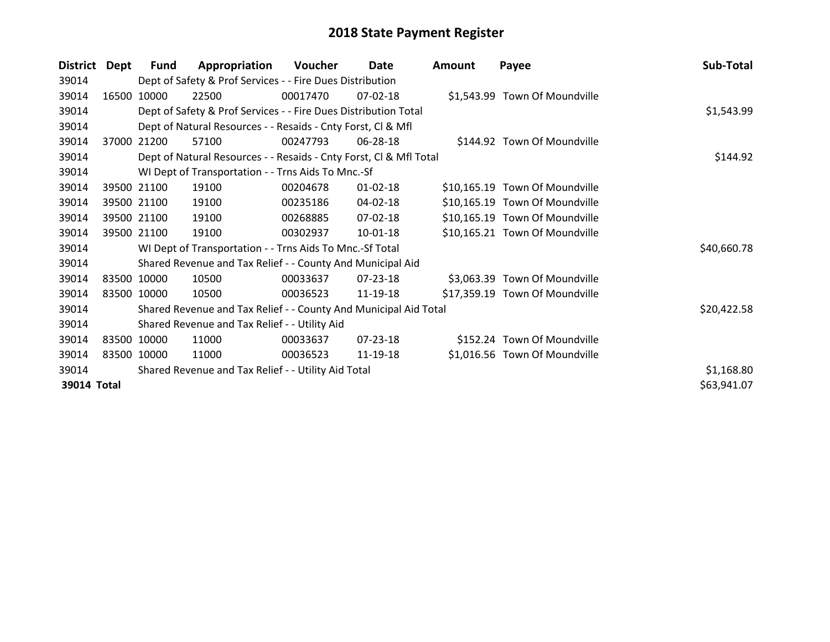| <b>District</b> | Dept  | Fund        | Appropriation                                                      | Voucher  | Date           | <b>Amount</b> | Payee                          | Sub-Total   |
|-----------------|-------|-------------|--------------------------------------------------------------------|----------|----------------|---------------|--------------------------------|-------------|
| 39014           |       |             | Dept of Safety & Prof Services - - Fire Dues Distribution          |          |                |               |                                |             |
| 39014           | 16500 | 10000       | 22500                                                              | 00017470 | $07-02-18$     |               | \$1,543.99 Town Of Moundville  |             |
| 39014           |       |             | Dept of Safety & Prof Services - - Fire Dues Distribution Total    |          |                |               |                                | \$1,543.99  |
| 39014           |       |             | Dept of Natural Resources - - Resaids - Cnty Forst, CI & Mfl       |          |                |               |                                |             |
| 39014           | 37000 | 21200       | 57100                                                              | 00247793 | 06-28-18       |               | \$144.92 Town Of Moundville    |             |
| 39014           |       |             | Dept of Natural Resources - - Resaids - Cnty Forst, Cl & Mfl Total |          | \$144.92       |               |                                |             |
| 39014           |       |             | WI Dept of Transportation - - Trns Aids To Mnc.-Sf                 |          |                |               |                                |             |
| 39014           |       | 39500 21100 | 19100                                                              | 00204678 | $01 - 02 - 18$ |               | \$10,165.19 Town Of Moundville |             |
| 39014           |       | 39500 21100 | 19100                                                              | 00235186 | 04-02-18       |               | \$10,165.19 Town Of Moundville |             |
| 39014           |       | 39500 21100 | 19100                                                              | 00268885 | 07-02-18       |               | \$10,165.19 Town Of Moundville |             |
| 39014           |       | 39500 21100 | 19100                                                              | 00302937 | $10-01-18$     |               | \$10,165.21 Town Of Moundville |             |
| 39014           |       |             | WI Dept of Transportation - - Trns Aids To Mnc.-Sf Total           |          |                |               |                                | \$40,660.78 |
| 39014           |       |             | Shared Revenue and Tax Relief - - County And Municipal Aid         |          |                |               |                                |             |
| 39014           |       | 83500 10000 | 10500                                                              | 00033637 | 07-23-18       |               | \$3,063.39 Town Of Moundville  |             |
| 39014           |       | 83500 10000 | 10500                                                              | 00036523 | 11-19-18       |               | \$17,359.19 Town Of Moundville |             |
| 39014           |       |             | Shared Revenue and Tax Relief - - County And Municipal Aid Total   |          |                |               |                                | \$20,422.58 |
| 39014           |       |             | Shared Revenue and Tax Relief - - Utility Aid                      |          |                |               |                                |             |
| 39014           |       | 83500 10000 | 11000                                                              | 00033637 | $07 - 23 - 18$ |               | \$152.24 Town Of Moundville    |             |
| 39014           |       | 83500 10000 | 11000                                                              | 00036523 | 11-19-18       |               | \$1,016.56 Town Of Moundville  |             |
| 39014           |       |             | Shared Revenue and Tax Relief - - Utility Aid Total                |          |                |               |                                | \$1,168.80  |
| 39014 Total     |       |             |                                                                    |          |                |               |                                | \$63,941.07 |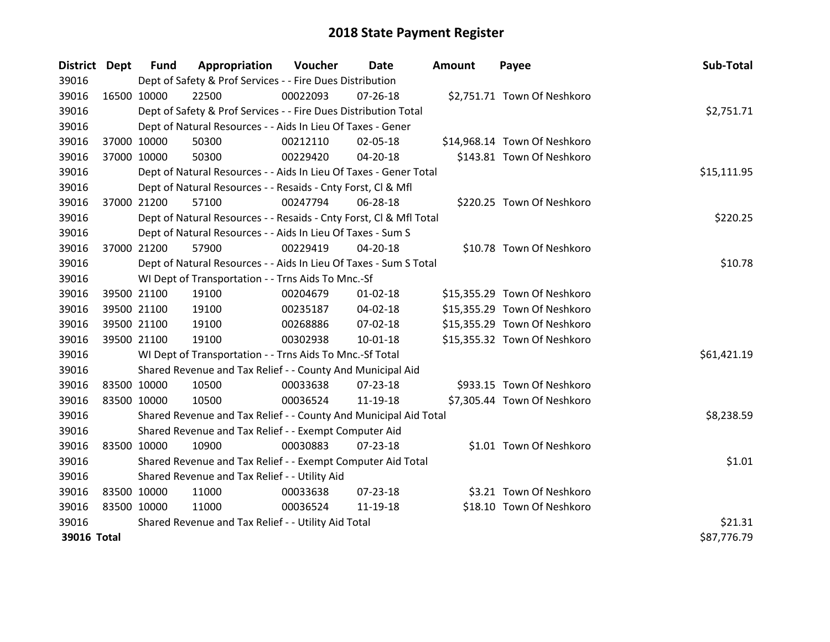| <b>District Dept</b> |             | <b>Fund</b> | Appropriation                                                      | <b>Voucher</b> | Date           | <b>Amount</b> | Payee                        | Sub-Total   |
|----------------------|-------------|-------------|--------------------------------------------------------------------|----------------|----------------|---------------|------------------------------|-------------|
| 39016                |             |             | Dept of Safety & Prof Services - - Fire Dues Distribution          |                |                |               |                              |             |
| 39016                | 16500 10000 |             | 22500                                                              | 00022093       | 07-26-18       |               | \$2,751.71 Town Of Neshkoro  |             |
| 39016                |             |             | Dept of Safety & Prof Services - - Fire Dues Distribution Total    |                |                |               |                              | \$2,751.71  |
| 39016                |             |             | Dept of Natural Resources - - Aids In Lieu Of Taxes - Gener        |                |                |               |                              |             |
| 39016                |             | 37000 10000 | 50300                                                              | 00212110       | 02-05-18       |               | \$14,968.14 Town Of Neshkoro |             |
| 39016                |             | 37000 10000 | 50300                                                              | 00229420       | 04-20-18       |               | \$143.81 Town Of Neshkoro    |             |
| 39016                |             |             | Dept of Natural Resources - - Aids In Lieu Of Taxes - Gener Total  |                |                |               |                              | \$15,111.95 |
| 39016                |             |             | Dept of Natural Resources - - Resaids - Cnty Forst, CI & Mfl       |                |                |               |                              |             |
| 39016                |             | 37000 21200 | 57100                                                              | 00247794       | 06-28-18       |               | \$220.25 Town Of Neshkoro    |             |
| 39016                |             |             | Dept of Natural Resources - - Resaids - Cnty Forst, Cl & Mfl Total |                |                |               |                              | \$220.25    |
| 39016                |             |             | Dept of Natural Resources - - Aids In Lieu Of Taxes - Sum S        |                |                |               |                              |             |
| 39016                |             | 37000 21200 | 57900                                                              | 00229419       | 04-20-18       |               | \$10.78 Town Of Neshkoro     |             |
| 39016                |             |             | Dept of Natural Resources - - Aids In Lieu Of Taxes - Sum S Total  |                |                |               |                              | \$10.78     |
| 39016                |             |             | WI Dept of Transportation - - Trns Aids To Mnc.-Sf                 |                |                |               |                              |             |
| 39016                |             | 39500 21100 | 19100                                                              | 00204679       | $01 - 02 - 18$ |               | \$15,355.29 Town Of Neshkoro |             |
| 39016                |             | 39500 21100 | 19100                                                              | 00235187       | 04-02-18       |               | \$15,355.29 Town Of Neshkoro |             |
| 39016                |             | 39500 21100 | 19100                                                              | 00268886       | 07-02-18       |               | \$15,355.29 Town Of Neshkoro |             |
| 39016                |             | 39500 21100 | 19100                                                              | 00302938       | $10 - 01 - 18$ |               | \$15,355.32 Town Of Neshkoro |             |
| 39016                |             |             | WI Dept of Transportation - - Trns Aids To Mnc.-Sf Total           |                |                |               |                              | \$61,421.19 |
| 39016                |             |             | Shared Revenue and Tax Relief - - County And Municipal Aid         |                |                |               |                              |             |
| 39016                |             | 83500 10000 | 10500                                                              | 00033638       | 07-23-18       |               | \$933.15 Town Of Neshkoro    |             |
| 39016                | 83500 10000 |             | 10500                                                              | 00036524       | 11-19-18       |               | \$7,305.44 Town Of Neshkoro  |             |
| 39016                |             |             | Shared Revenue and Tax Relief - - County And Municipal Aid Total   |                |                |               |                              | \$8,238.59  |
| 39016                |             |             | Shared Revenue and Tax Relief - - Exempt Computer Aid              |                |                |               |                              |             |
| 39016                | 83500 10000 |             | 10900                                                              | 00030883       | 07-23-18       |               | \$1.01 Town Of Neshkoro      |             |
| 39016                |             |             | Shared Revenue and Tax Relief - - Exempt Computer Aid Total        |                |                |               |                              | \$1.01      |
| 39016                |             |             | Shared Revenue and Tax Relief - - Utility Aid                      |                |                |               |                              |             |
| 39016                | 83500 10000 |             | 11000                                                              | 00033638       | 07-23-18       |               | \$3.21 Town Of Neshkoro      |             |
| 39016                | 83500 10000 |             | 11000                                                              | 00036524       | 11-19-18       |               | \$18.10 Town Of Neshkoro     |             |
| 39016                |             |             | Shared Revenue and Tax Relief - - Utility Aid Total                |                |                |               |                              | \$21.31     |
| 39016 Total          |             |             |                                                                    |                |                |               |                              | \$87,776.79 |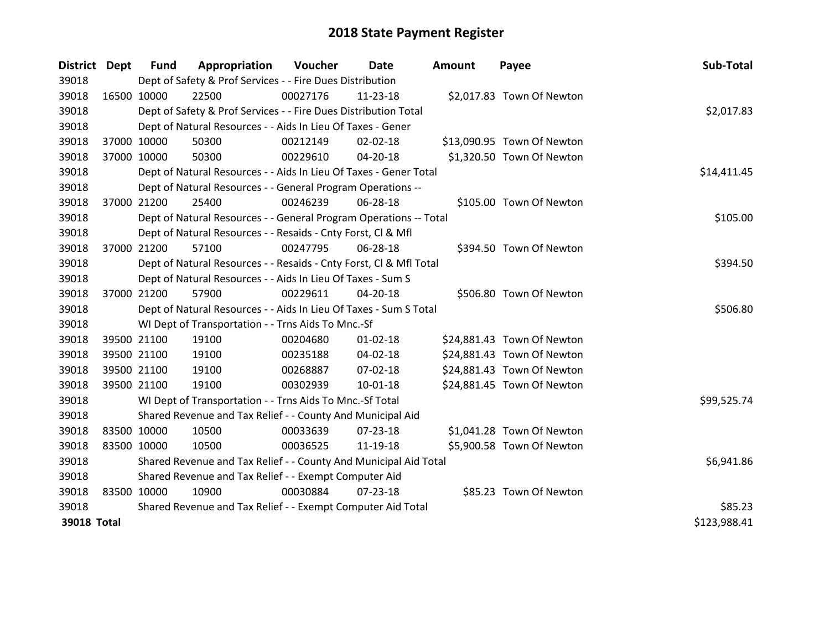| <b>District Dept</b> |             | <b>Fund</b> | Appropriation                                                      | Voucher  | Date           | <b>Amount</b> | Payee                      | Sub-Total    |
|----------------------|-------------|-------------|--------------------------------------------------------------------|----------|----------------|---------------|----------------------------|--------------|
| 39018                |             |             | Dept of Safety & Prof Services - - Fire Dues Distribution          |          |                |               |                            |              |
| 39018                | 16500 10000 |             | 22500                                                              | 00027176 | 11-23-18       |               | \$2,017.83 Town Of Newton  |              |
| 39018                |             |             | Dept of Safety & Prof Services - - Fire Dues Distribution Total    |          |                |               |                            | \$2,017.83   |
| 39018                |             |             | Dept of Natural Resources - - Aids In Lieu Of Taxes - Gener        |          |                |               |                            |              |
| 39018                | 37000 10000 |             | 50300                                                              | 00212149 | $02 - 02 - 18$ |               | \$13,090.95 Town Of Newton |              |
| 39018                | 37000 10000 |             | 50300                                                              | 00229610 | 04-20-18       |               | \$1,320.50 Town Of Newton  |              |
| 39018                |             |             | Dept of Natural Resources - - Aids In Lieu Of Taxes - Gener Total  |          |                |               |                            | \$14,411.45  |
| 39018                |             |             | Dept of Natural Resources - - General Program Operations --        |          |                |               |                            |              |
| 39018                | 37000 21200 |             | 25400                                                              | 00246239 | 06-28-18       |               | \$105.00 Town Of Newton    |              |
| 39018                |             |             | Dept of Natural Resources - - General Program Operations -- Total  |          |                |               |                            | \$105.00     |
| 39018                |             |             | Dept of Natural Resources - - Resaids - Cnty Forst, CI & Mfl       |          |                |               |                            |              |
| 39018                | 37000 21200 |             | 57100                                                              | 00247795 | 06-28-18       |               | \$394.50 Town Of Newton    |              |
| 39018                |             |             | Dept of Natural Resources - - Resaids - Cnty Forst, Cl & Mfl Total |          |                |               |                            | \$394.50     |
| 39018                |             |             | Dept of Natural Resources - - Aids In Lieu Of Taxes - Sum S        |          |                |               |                            |              |
| 39018                | 37000 21200 |             | 57900                                                              | 00229611 | 04-20-18       |               | \$506.80 Town Of Newton    |              |
| 39018                |             |             | Dept of Natural Resources - - Aids In Lieu Of Taxes - Sum S Total  |          |                |               |                            | \$506.80     |
| 39018                |             |             | WI Dept of Transportation - - Trns Aids To Mnc.-Sf                 |          |                |               |                            |              |
| 39018                | 39500 21100 |             | 19100                                                              | 00204680 | $01 - 02 - 18$ |               | \$24,881.43 Town Of Newton |              |
| 39018                |             | 39500 21100 | 19100                                                              | 00235188 | 04-02-18       |               | \$24,881.43 Town Of Newton |              |
| 39018                |             | 39500 21100 | 19100                                                              | 00268887 | $07 - 02 - 18$ |               | \$24,881.43 Town Of Newton |              |
| 39018                | 39500 21100 |             | 19100                                                              | 00302939 | 10-01-18       |               | \$24,881.45 Town Of Newton |              |
| 39018                |             |             | WI Dept of Transportation - - Trns Aids To Mnc.-Sf Total           |          |                |               |                            | \$99,525.74  |
| 39018                |             |             | Shared Revenue and Tax Relief - - County And Municipal Aid         |          |                |               |                            |              |
| 39018                | 83500 10000 |             | 10500                                                              | 00033639 | $07 - 23 - 18$ |               | \$1,041.28 Town Of Newton  |              |
| 39018                | 83500 10000 |             | 10500                                                              | 00036525 | 11-19-18       |               | \$5,900.58 Town Of Newton  |              |
| 39018                |             |             | Shared Revenue and Tax Relief - - County And Municipal Aid Total   |          |                |               |                            | \$6,941.86   |
| 39018                |             |             | Shared Revenue and Tax Relief - - Exempt Computer Aid              |          |                |               |                            |              |
| 39018                | 83500 10000 |             | 10900                                                              | 00030884 | $07 - 23 - 18$ |               | \$85.23 Town Of Newton     |              |
| 39018                |             |             | Shared Revenue and Tax Relief - - Exempt Computer Aid Total        |          |                |               |                            | \$85.23      |
| <b>39018 Total</b>   |             |             |                                                                    |          |                |               |                            | \$123,988.41 |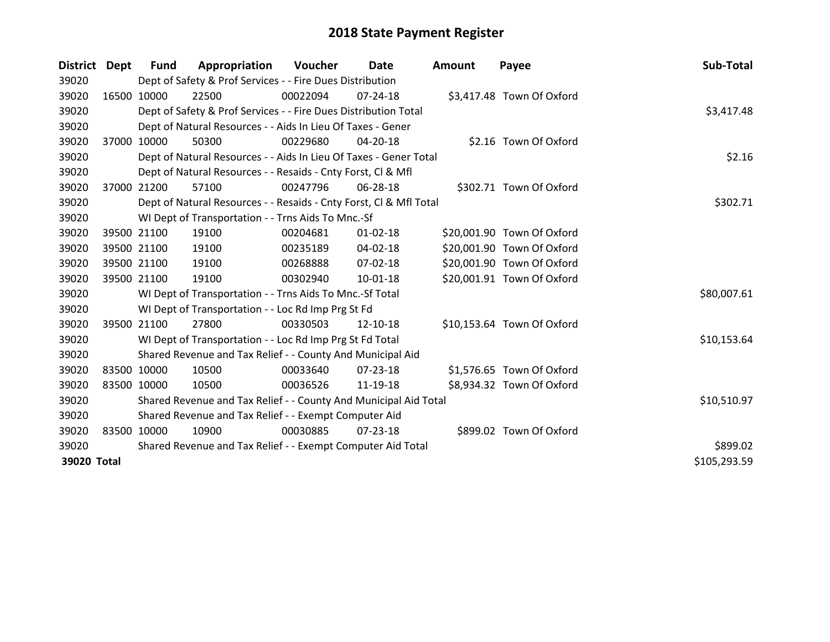| <b>District</b> | Dept        | <b>Fund</b> | Appropriation                                                      | Voucher     | <b>Date</b>    | <b>Amount</b> | Payee                      | Sub-Total    |
|-----------------|-------------|-------------|--------------------------------------------------------------------|-------------|----------------|---------------|----------------------------|--------------|
| 39020           |             |             | Dept of Safety & Prof Services - - Fire Dues Distribution          |             |                |               |                            |              |
| 39020           | 16500 10000 |             | 22500                                                              | 00022094    | 07-24-18       |               | \$3,417.48 Town Of Oxford  |              |
| 39020           |             |             | Dept of Safety & Prof Services - - Fire Dues Distribution Total    |             |                |               |                            | \$3,417.48   |
| 39020           |             |             | Dept of Natural Resources - - Aids In Lieu Of Taxes - Gener        |             |                |               |                            |              |
| 39020           | 37000       | 10000       | 50300                                                              | 00229680    | 04-20-18       |               | \$2.16 Town Of Oxford      |              |
| 39020           |             |             | Dept of Natural Resources - - Aids In Lieu Of Taxes - Gener Total  |             |                |               |                            | \$2.16       |
| 39020           |             |             | Dept of Natural Resources - - Resaids - Cnty Forst, CI & Mfl       |             |                |               |                            |              |
| 39020           | 37000 21200 |             | 57100                                                              | 00247796    | 06-28-18       |               | \$302.71 Town Of Oxford    |              |
| 39020           |             |             | Dept of Natural Resources - - Resaids - Cnty Forst, Cl & Mfl Total |             |                |               |                            | \$302.71     |
| 39020           |             |             | WI Dept of Transportation - - Trns Aids To Mnc.-Sf                 |             |                |               |                            |              |
| 39020           | 39500 21100 |             | 19100                                                              | 00204681    | $01 - 02 - 18$ |               | \$20,001.90 Town Of Oxford |              |
| 39020           | 39500 21100 |             | 19100                                                              | 00235189    | 04-02-18       |               | \$20,001.90 Town Of Oxford |              |
| 39020           | 39500 21100 |             | 19100                                                              | 00268888    | $07 - 02 - 18$ |               | \$20,001.90 Town Of Oxford |              |
| 39020           | 39500 21100 |             | 19100                                                              | 00302940    | 10-01-18       |               | \$20,001.91 Town Of Oxford |              |
| 39020           |             |             | WI Dept of Transportation - - Trns Aids To Mnc.-Sf Total           |             |                |               |                            | \$80,007.61  |
| 39020           |             |             | WI Dept of Transportation - - Loc Rd Imp Prg St Fd                 |             |                |               |                            |              |
| 39020           | 39500 21100 |             | 27800                                                              | 00330503    | 12-10-18       |               | \$10,153.64 Town Of Oxford |              |
| 39020           |             |             | WI Dept of Transportation - - Loc Rd Imp Prg St Fd Total           |             |                |               |                            | \$10,153.64  |
| 39020           |             |             | Shared Revenue and Tax Relief - - County And Municipal Aid         |             |                |               |                            |              |
| 39020           | 83500 10000 |             | 10500                                                              | 00033640    | 07-23-18       |               | \$1,576.65 Town Of Oxford  |              |
| 39020           | 83500 10000 |             | 10500                                                              | 00036526    | 11-19-18       |               | \$8,934.32 Town Of Oxford  |              |
| 39020           |             |             | Shared Revenue and Tax Relief - - County And Municipal Aid Total   | \$10,510.97 |                |               |                            |              |
| 39020           |             |             | Shared Revenue and Tax Relief - - Exempt Computer Aid              |             |                |               |                            |              |
| 39020           | 83500       | 10000       | 10900                                                              | 00030885    | 07-23-18       |               | \$899.02 Town Of Oxford    |              |
| 39020           |             |             | Shared Revenue and Tax Relief - - Exempt Computer Aid Total        | \$899.02    |                |               |                            |              |
| 39020 Total     |             |             |                                                                    |             |                |               |                            | \$105,293.59 |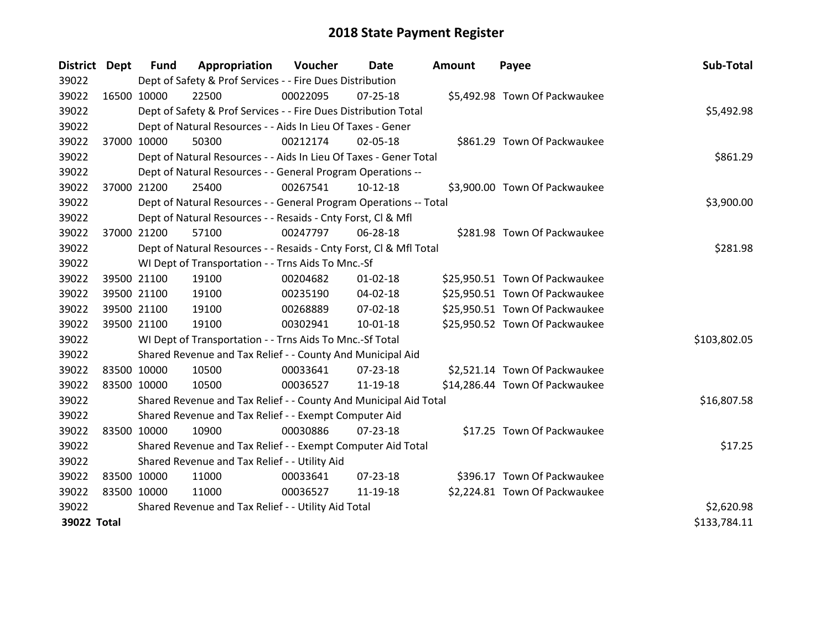| District Dept |             | <b>Fund</b> | Appropriation                                                      | <b>Voucher</b> | Date           | <b>Amount</b> | Payee                          | Sub-Total    |
|---------------|-------------|-------------|--------------------------------------------------------------------|----------------|----------------|---------------|--------------------------------|--------------|
| 39022         |             |             | Dept of Safety & Prof Services - - Fire Dues Distribution          |                |                |               |                                |              |
| 39022         | 16500 10000 |             | 22500                                                              | 00022095       | $07 - 25 - 18$ |               | \$5,492.98 Town Of Packwaukee  |              |
| 39022         |             |             | Dept of Safety & Prof Services - - Fire Dues Distribution Total    |                |                |               |                                | \$5,492.98   |
| 39022         |             |             | Dept of Natural Resources - - Aids In Lieu Of Taxes - Gener        |                |                |               |                                |              |
| 39022         | 37000 10000 |             | 50300                                                              | 00212174       | 02-05-18       |               | \$861.29 Town Of Packwaukee    |              |
| 39022         |             |             | Dept of Natural Resources - - Aids In Lieu Of Taxes - Gener Total  |                |                |               |                                | \$861.29     |
| 39022         |             |             | Dept of Natural Resources - - General Program Operations --        |                |                |               |                                |              |
| 39022         | 37000 21200 |             | 25400                                                              | 00267541       | $10-12-18$     |               | \$3,900.00 Town Of Packwaukee  |              |
| 39022         |             |             | Dept of Natural Resources - - General Program Operations -- Total  |                |                |               |                                | \$3,900.00   |
| 39022         |             |             | Dept of Natural Resources - - Resaids - Cnty Forst, Cl & Mfl       |                |                |               |                                |              |
| 39022         |             | 37000 21200 | 57100                                                              | 00247797       | 06-28-18       |               | \$281.98 Town Of Packwaukee    |              |
| 39022         |             |             | Dept of Natural Resources - - Resaids - Cnty Forst, Cl & Mfl Total |                |                |               |                                | \$281.98     |
| 39022         |             |             | WI Dept of Transportation - - Trns Aids To Mnc.-Sf                 |                |                |               |                                |              |
| 39022         | 39500 21100 |             | 19100                                                              | 00204682       | $01 - 02 - 18$ |               | \$25,950.51 Town Of Packwaukee |              |
| 39022         |             | 39500 21100 | 19100                                                              | 00235190       | 04-02-18       |               | \$25,950.51 Town Of Packwaukee |              |
| 39022         |             | 39500 21100 | 19100                                                              | 00268889       | 07-02-18       |               | \$25,950.51 Town Of Packwaukee |              |
| 39022         | 39500 21100 |             | 19100                                                              | 00302941       | $10 - 01 - 18$ |               | \$25,950.52 Town Of Packwaukee |              |
| 39022         |             |             | WI Dept of Transportation - - Trns Aids To Mnc.-Sf Total           |                |                |               |                                | \$103,802.05 |
| 39022         |             |             | Shared Revenue and Tax Relief - - County And Municipal Aid         |                |                |               |                                |              |
| 39022         | 83500 10000 |             | 10500                                                              | 00033641       | 07-23-18       |               | \$2,521.14 Town Of Packwaukee  |              |
| 39022         | 83500 10000 |             | 10500                                                              | 00036527       | 11-19-18       |               | \$14,286.44 Town Of Packwaukee |              |
| 39022         |             |             | Shared Revenue and Tax Relief - - County And Municipal Aid Total   |                |                |               |                                | \$16,807.58  |
| 39022         |             |             | Shared Revenue and Tax Relief - - Exempt Computer Aid              |                |                |               |                                |              |
| 39022         | 83500 10000 |             | 10900                                                              | 00030886       | $07 - 23 - 18$ |               | \$17.25 Town Of Packwaukee     |              |
| 39022         |             |             | Shared Revenue and Tax Relief - - Exempt Computer Aid Total        |                |                |               |                                | \$17.25      |
| 39022         |             |             | Shared Revenue and Tax Relief - - Utility Aid                      |                |                |               |                                |              |
| 39022         | 83500 10000 |             | 11000                                                              | 00033641       | 07-23-18       |               | \$396.17 Town Of Packwaukee    |              |
| 39022         | 83500 10000 |             | 11000                                                              | 00036527       | 11-19-18       |               | \$2,224.81 Town Of Packwaukee  |              |
| 39022         |             |             | Shared Revenue and Tax Relief - - Utility Aid Total                |                |                |               |                                | \$2,620.98   |
| 39022 Total   |             |             |                                                                    |                |                |               |                                | \$133,784.11 |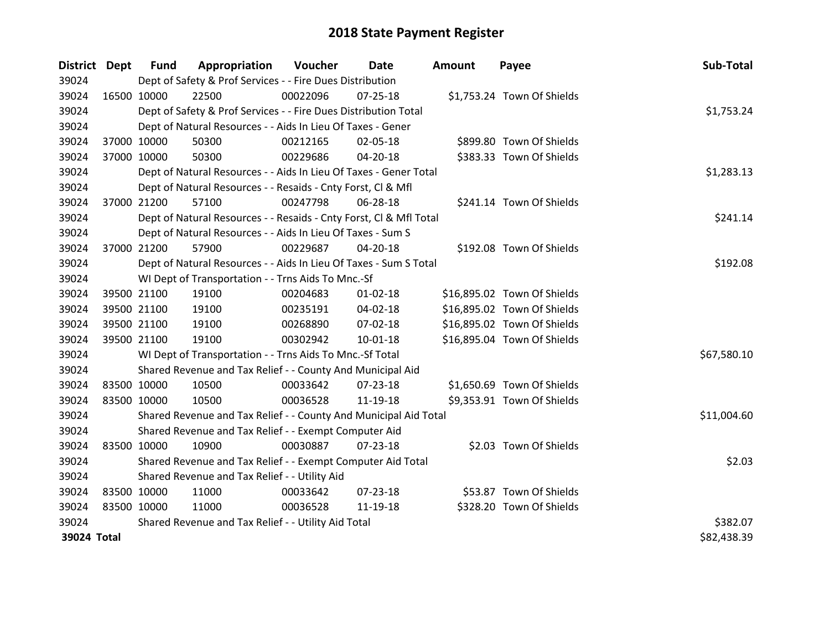| District Dept |             | <b>Fund</b> | Appropriation                                                      | Voucher  | Date           | Amount | Payee                       | Sub-Total   |
|---------------|-------------|-------------|--------------------------------------------------------------------|----------|----------------|--------|-----------------------------|-------------|
| 39024         |             |             | Dept of Safety & Prof Services - - Fire Dues Distribution          |          |                |        |                             |             |
| 39024         | 16500 10000 |             | 22500                                                              | 00022096 | 07-25-18       |        | \$1,753.24 Town Of Shields  |             |
| 39024         |             |             | Dept of Safety & Prof Services - - Fire Dues Distribution Total    |          |                |        |                             | \$1,753.24  |
| 39024         |             |             | Dept of Natural Resources - - Aids In Lieu Of Taxes - Gener        |          |                |        |                             |             |
| 39024         | 37000 10000 |             | 50300                                                              | 00212165 | 02-05-18       |        | \$899.80 Town Of Shields    |             |
| 39024         |             | 37000 10000 | 50300                                                              | 00229686 | 04-20-18       |        | \$383.33 Town Of Shields    |             |
| 39024         |             |             | Dept of Natural Resources - - Aids In Lieu Of Taxes - Gener Total  |          |                |        |                             | \$1,283.13  |
| 39024         |             |             | Dept of Natural Resources - - Resaids - Cnty Forst, CI & Mfl       |          |                |        |                             |             |
| 39024         |             | 37000 21200 | 57100                                                              | 00247798 | 06-28-18       |        | \$241.14 Town Of Shields    |             |
| 39024         |             |             | Dept of Natural Resources - - Resaids - Cnty Forst, Cl & Mfl Total |          |                |        |                             | \$241.14    |
| 39024         |             |             | Dept of Natural Resources - - Aids In Lieu Of Taxes - Sum S        |          |                |        |                             |             |
| 39024         | 37000 21200 |             | 57900                                                              | 00229687 | 04-20-18       |        | \$192.08 Town Of Shields    |             |
| 39024         |             |             | Dept of Natural Resources - - Aids In Lieu Of Taxes - Sum S Total  |          |                |        |                             | \$192.08    |
| 39024         |             |             | WI Dept of Transportation - - Trns Aids To Mnc.-Sf                 |          |                |        |                             |             |
| 39024         |             | 39500 21100 | 19100                                                              | 00204683 | $01 - 02 - 18$ |        | \$16,895.02 Town Of Shields |             |
| 39024         |             | 39500 21100 | 19100                                                              | 00235191 | 04-02-18       |        | \$16,895.02 Town Of Shields |             |
| 39024         |             | 39500 21100 | 19100                                                              | 00268890 | 07-02-18       |        | \$16,895.02 Town Of Shields |             |
| 39024         |             | 39500 21100 | 19100                                                              | 00302942 | $10 - 01 - 18$ |        | \$16,895.04 Town Of Shields |             |
| 39024         |             |             | WI Dept of Transportation - - Trns Aids To Mnc.-Sf Total           |          |                |        |                             | \$67,580.10 |
| 39024         |             |             | Shared Revenue and Tax Relief - - County And Municipal Aid         |          |                |        |                             |             |
| 39024         |             | 83500 10000 | 10500                                                              | 00033642 | 07-23-18       |        | \$1,650.69 Town Of Shields  |             |
| 39024         |             | 83500 10000 | 10500                                                              | 00036528 | 11-19-18       |        | \$9,353.91 Town Of Shields  |             |
| 39024         |             |             | Shared Revenue and Tax Relief - - County And Municipal Aid Total   |          |                |        |                             | \$11,004.60 |
| 39024         |             |             | Shared Revenue and Tax Relief - - Exempt Computer Aid              |          |                |        |                             |             |
| 39024         |             | 83500 10000 | 10900                                                              | 00030887 | 07-23-18       |        | \$2.03 Town Of Shields      |             |
| 39024         |             |             | Shared Revenue and Tax Relief - - Exempt Computer Aid Total        |          |                |        |                             | \$2.03      |
| 39024         |             |             | Shared Revenue and Tax Relief - - Utility Aid                      |          |                |        |                             |             |
| 39024         | 83500 10000 |             | 11000                                                              | 00033642 | 07-23-18       |        | \$53.87 Town Of Shields     |             |
| 39024         | 83500 10000 |             | 11000                                                              | 00036528 | 11-19-18       |        | \$328.20 Town Of Shields    |             |
| 39024         |             |             | Shared Revenue and Tax Relief - - Utility Aid Total                |          |                |        |                             | \$382.07    |
| 39024 Total   |             |             |                                                                    |          |                |        |                             | \$82,438.39 |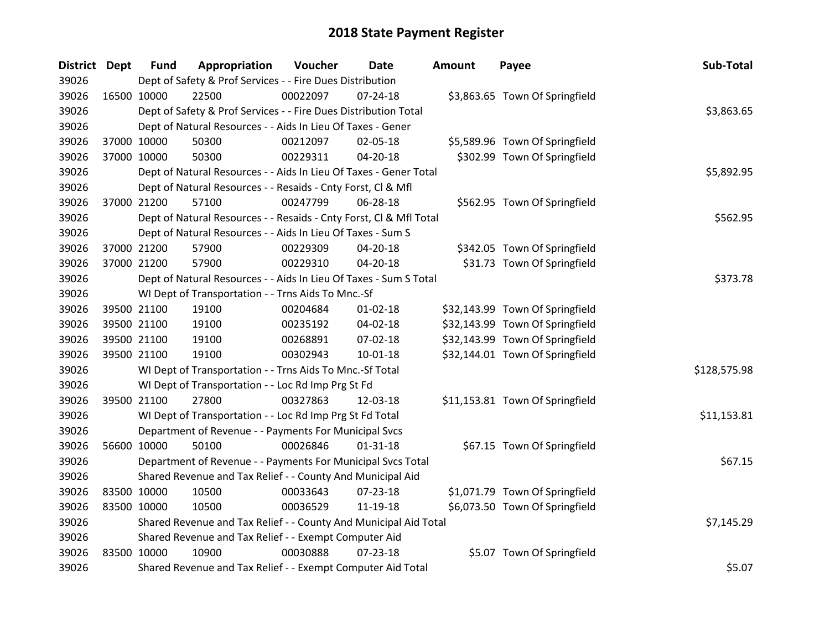| District Dept |             | <b>Fund</b> | Appropriation                                                      | Voucher  | <b>Date</b>    | <b>Amount</b> | Payee                           | Sub-Total    |
|---------------|-------------|-------------|--------------------------------------------------------------------|----------|----------------|---------------|---------------------------------|--------------|
| 39026         |             |             | Dept of Safety & Prof Services - - Fire Dues Distribution          |          |                |               |                                 |              |
| 39026         | 16500 10000 |             | 22500                                                              | 00022097 | $07 - 24 - 18$ |               | \$3,863.65 Town Of Springfield  |              |
| 39026         |             |             | Dept of Safety & Prof Services - - Fire Dues Distribution Total    |          |                |               |                                 | \$3,863.65   |
| 39026         |             |             | Dept of Natural Resources - - Aids In Lieu Of Taxes - Gener        |          |                |               |                                 |              |
| 39026         | 37000 10000 |             | 50300                                                              | 00212097 | 02-05-18       |               | \$5,589.96 Town Of Springfield  |              |
| 39026         | 37000 10000 |             | 50300                                                              | 00229311 | 04-20-18       |               | \$302.99 Town Of Springfield    |              |
| 39026         |             |             | Dept of Natural Resources - - Aids In Lieu Of Taxes - Gener Total  |          |                |               |                                 | \$5,892.95   |
| 39026         |             |             | Dept of Natural Resources - - Resaids - Cnty Forst, Cl & Mfl       |          |                |               |                                 |              |
| 39026         | 37000 21200 |             | 57100                                                              | 00247799 | 06-28-18       |               | \$562.95 Town Of Springfield    |              |
| 39026         |             |             | Dept of Natural Resources - - Resaids - Cnty Forst, Cl & Mfl Total |          |                |               |                                 | \$562.95     |
| 39026         |             |             | Dept of Natural Resources - - Aids In Lieu Of Taxes - Sum S        |          |                |               |                                 |              |
| 39026         | 37000 21200 |             | 57900                                                              | 00229309 | 04-20-18       |               | \$342.05 Town Of Springfield    |              |
| 39026         | 37000 21200 |             | 57900                                                              | 00229310 | 04-20-18       |               | \$31.73 Town Of Springfield     |              |
| 39026         |             |             | Dept of Natural Resources - - Aids In Lieu Of Taxes - Sum S Total  |          |                |               |                                 | \$373.78     |
| 39026         |             |             | WI Dept of Transportation - - Trns Aids To Mnc.-Sf                 |          |                |               |                                 |              |
| 39026         | 39500 21100 |             | 19100                                                              | 00204684 | $01 - 02 - 18$ |               | \$32,143.99 Town Of Springfield |              |
| 39026         | 39500 21100 |             | 19100                                                              | 00235192 | 04-02-18       |               | \$32,143.99 Town Of Springfield |              |
| 39026         | 39500 21100 |             | 19100                                                              | 00268891 | 07-02-18       |               | \$32,143.99 Town Of Springfield |              |
| 39026         | 39500 21100 |             | 19100                                                              | 00302943 | 10-01-18       |               | \$32,144.01 Town Of Springfield |              |
| 39026         |             |             | WI Dept of Transportation - - Trns Aids To Mnc.-Sf Total           |          |                |               |                                 | \$128,575.98 |
| 39026         |             |             | WI Dept of Transportation - - Loc Rd Imp Prg St Fd                 |          |                |               |                                 |              |
| 39026         | 39500 21100 |             | 27800                                                              | 00327863 | 12-03-18       |               | \$11,153.81 Town Of Springfield |              |
| 39026         |             |             | WI Dept of Transportation - - Loc Rd Imp Prg St Fd Total           |          |                |               |                                 | \$11,153.81  |
| 39026         |             |             | Department of Revenue - - Payments For Municipal Svcs              |          |                |               |                                 |              |
| 39026         | 56600 10000 |             | 50100                                                              | 00026846 | $01 - 31 - 18$ |               | \$67.15 Town Of Springfield     |              |
| 39026         |             |             | Department of Revenue - - Payments For Municipal Svcs Total        |          |                |               |                                 | \$67.15      |
| 39026         |             |             | Shared Revenue and Tax Relief - - County And Municipal Aid         |          |                |               |                                 |              |
| 39026         | 83500 10000 |             | 10500                                                              | 00033643 | $07 - 23 - 18$ |               | \$1,071.79 Town Of Springfield  |              |
| 39026         | 83500 10000 |             | 10500                                                              | 00036529 | 11-19-18       |               | \$6,073.50 Town Of Springfield  |              |
| 39026         |             |             | Shared Revenue and Tax Relief - - County And Municipal Aid Total   |          |                |               |                                 | \$7,145.29   |
| 39026         |             |             | Shared Revenue and Tax Relief - - Exempt Computer Aid              |          |                |               |                                 |              |
| 39026         | 83500 10000 |             | 10900                                                              | 00030888 | $07 - 23 - 18$ |               | \$5.07 Town Of Springfield      |              |
| 39026         |             |             | Shared Revenue and Tax Relief - - Exempt Computer Aid Total        |          |                |               |                                 | \$5.07       |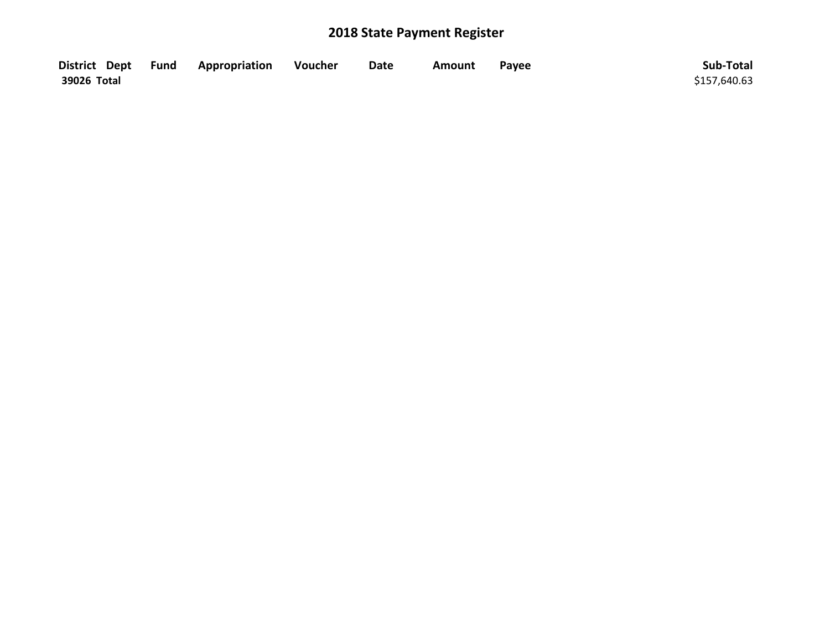|             | District Dept Fund Appropriation | Voucher | <b>Date</b> | Amount | Payee | Sub-Total    |
|-------------|----------------------------------|---------|-------------|--------|-------|--------------|
| 39026 Total |                                  |         |             |        |       | \$157,640.63 |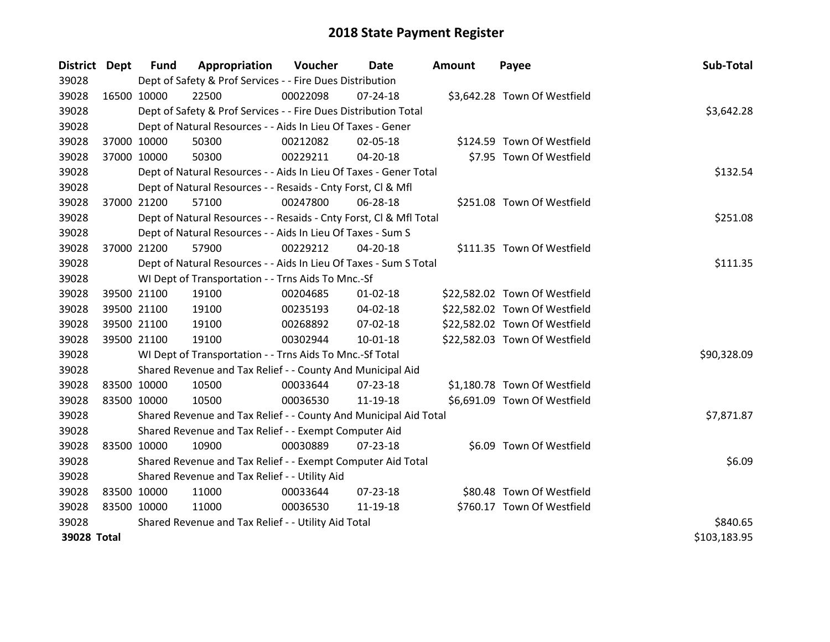| District Dept |             | <b>Fund</b> | Appropriation                                                      | Voucher  | Date           | <b>Amount</b> | Payee                         | Sub-Total    |
|---------------|-------------|-------------|--------------------------------------------------------------------|----------|----------------|---------------|-------------------------------|--------------|
| 39028         |             |             | Dept of Safety & Prof Services - - Fire Dues Distribution          |          |                |               |                               |              |
| 39028         | 16500 10000 |             | 22500                                                              | 00022098 | 07-24-18       |               | \$3,642.28 Town Of Westfield  |              |
| 39028         |             |             | Dept of Safety & Prof Services - - Fire Dues Distribution Total    |          |                |               |                               | \$3,642.28   |
| 39028         |             |             | Dept of Natural Resources - - Aids In Lieu Of Taxes - Gener        |          |                |               |                               |              |
| 39028         | 37000 10000 |             | 50300                                                              | 00212082 | 02-05-18       |               | \$124.59 Town Of Westfield    |              |
| 39028         |             | 37000 10000 | 50300                                                              | 00229211 | 04-20-18       |               | \$7.95 Town Of Westfield      |              |
| 39028         |             |             | Dept of Natural Resources - - Aids In Lieu Of Taxes - Gener Total  |          |                |               |                               | \$132.54     |
| 39028         |             |             | Dept of Natural Resources - - Resaids - Cnty Forst, CI & Mfl       |          |                |               |                               |              |
| 39028         | 37000 21200 |             | 57100                                                              | 00247800 | 06-28-18       |               | \$251.08 Town Of Westfield    |              |
| 39028         |             |             | Dept of Natural Resources - - Resaids - Cnty Forst, Cl & Mfl Total |          |                |               |                               | \$251.08     |
| 39028         |             |             | Dept of Natural Resources - - Aids In Lieu Of Taxes - Sum S        |          |                |               |                               |              |
| 39028         | 37000 21200 |             | 57900                                                              | 00229212 | $04 - 20 - 18$ |               | \$111.35 Town Of Westfield    |              |
| 39028         |             |             | Dept of Natural Resources - - Aids In Lieu Of Taxes - Sum S Total  |          |                |               |                               | \$111.35     |
| 39028         |             |             | WI Dept of Transportation - - Trns Aids To Mnc.-Sf                 |          |                |               |                               |              |
| 39028         |             | 39500 21100 | 19100                                                              | 00204685 | $01 - 02 - 18$ |               | \$22,582.02 Town Of Westfield |              |
| 39028         |             | 39500 21100 | 19100                                                              | 00235193 | 04-02-18       |               | \$22,582.02 Town Of Westfield |              |
| 39028         |             | 39500 21100 | 19100                                                              | 00268892 | 07-02-18       |               | \$22,582.02 Town Of Westfield |              |
| 39028         | 39500 21100 |             | 19100                                                              | 00302944 | $10 - 01 - 18$ |               | \$22,582.03 Town Of Westfield |              |
| 39028         |             |             | WI Dept of Transportation - - Trns Aids To Mnc.-Sf Total           |          |                |               |                               | \$90,328.09  |
| 39028         |             |             | Shared Revenue and Tax Relief - - County And Municipal Aid         |          |                |               |                               |              |
| 39028         | 83500 10000 |             | 10500                                                              | 00033644 | 07-23-18       |               | \$1,180.78 Town Of Westfield  |              |
| 39028         | 83500 10000 |             | 10500                                                              | 00036530 | 11-19-18       |               | \$6,691.09 Town Of Westfield  |              |
| 39028         |             |             | Shared Revenue and Tax Relief - - County And Municipal Aid Total   |          |                |               |                               | \$7,871.87   |
| 39028         |             |             | Shared Revenue and Tax Relief - - Exempt Computer Aid              |          |                |               |                               |              |
| 39028         | 83500 10000 |             | 10900                                                              | 00030889 | 07-23-18       |               | \$6.09 Town Of Westfield      |              |
| 39028         |             |             | Shared Revenue and Tax Relief - - Exempt Computer Aid Total        |          |                |               |                               | \$6.09       |
| 39028         |             |             | Shared Revenue and Tax Relief - - Utility Aid                      |          |                |               |                               |              |
| 39028         | 83500 10000 |             | 11000                                                              | 00033644 | 07-23-18       |               | \$80.48 Town Of Westfield     |              |
| 39028         | 83500 10000 |             | 11000                                                              | 00036530 | 11-19-18       |               | \$760.17 Town Of Westfield    |              |
| 39028         |             |             | Shared Revenue and Tax Relief - - Utility Aid Total                |          |                |               |                               | \$840.65     |
| 39028 Total   |             |             |                                                                    |          |                |               |                               | \$103,183.95 |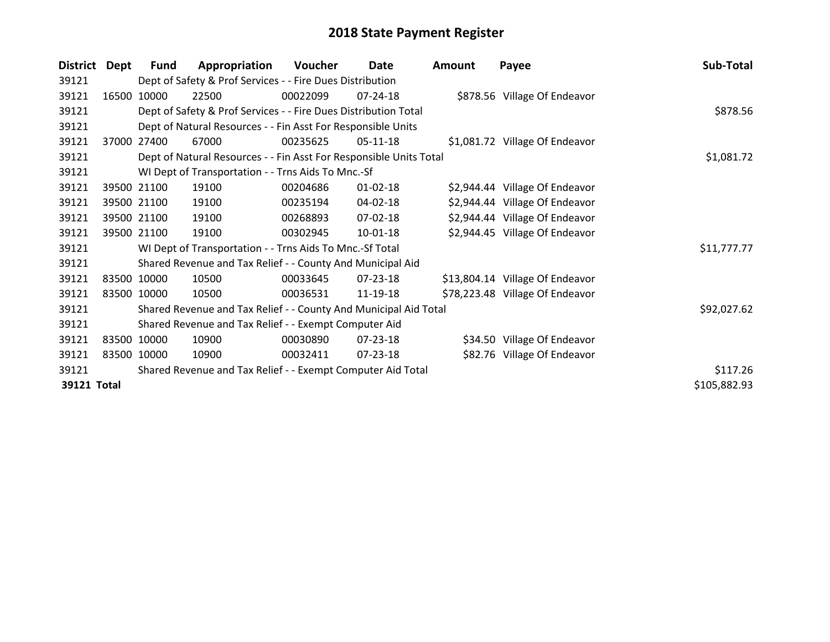| <b>District</b> | Dept        | Fund  | Appropriation                                                      | Voucher  | Date           | Amount | Payee                           | Sub-Total    |
|-----------------|-------------|-------|--------------------------------------------------------------------|----------|----------------|--------|---------------------------------|--------------|
| 39121           |             |       | Dept of Safety & Prof Services - - Fire Dues Distribution          |          |                |        |                                 |              |
| 39121           | 16500       | 10000 | 22500                                                              | 00022099 | $07 - 24 - 18$ |        | \$878.56 Village Of Endeavor    |              |
| 39121           |             |       | Dept of Safety & Prof Services - - Fire Dues Distribution Total    |          |                |        |                                 | \$878.56     |
| 39121           |             |       | Dept of Natural Resources - - Fin Asst For Responsible Units       |          |                |        |                                 |              |
| 39121           | 37000       | 27400 | 67000                                                              | 00235625 | $05-11-18$     |        | \$1,081.72 Village Of Endeavor  |              |
| 39121           |             |       | Dept of Natural Resources - - Fin Asst For Responsible Units Total |          |                |        |                                 | \$1,081.72   |
| 39121           |             |       | WI Dept of Transportation - - Trns Aids To Mnc.-Sf                 |          |                |        |                                 |              |
| 39121           | 39500 21100 |       | 19100                                                              | 00204686 | $01 - 02 - 18$ |        | \$2,944.44 Village Of Endeavor  |              |
| 39121           | 39500 21100 |       | 19100                                                              | 00235194 | 04-02-18       |        | \$2,944.44 Village Of Endeavor  |              |
| 39121           | 39500 21100 |       | 19100                                                              | 00268893 | $07 - 02 - 18$ |        | \$2,944.44 Village Of Endeavor  |              |
| 39121           | 39500 21100 |       | 19100                                                              | 00302945 | 10-01-18       |        | \$2,944.45 Village Of Endeavor  |              |
| 39121           |             |       | WI Dept of Transportation - - Trns Aids To Mnc.-Sf Total           |          |                |        |                                 | \$11,777.77  |
| 39121           |             |       | Shared Revenue and Tax Relief - - County And Municipal Aid         |          |                |        |                                 |              |
| 39121           | 83500 10000 |       | 10500                                                              | 00033645 | 07-23-18       |        | \$13,804.14 Village Of Endeavor |              |
| 39121           | 83500 10000 |       | 10500                                                              | 00036531 | 11-19-18       |        | \$78,223.48 Village Of Endeavor |              |
| 39121           |             |       | Shared Revenue and Tax Relief - - County And Municipal Aid Total   |          |                |        |                                 | \$92,027.62  |
| 39121           |             |       | Shared Revenue and Tax Relief - - Exempt Computer Aid              |          |                |        |                                 |              |
| 39121           | 83500 10000 |       | 10900                                                              | 00030890 | 07-23-18       |        | \$34.50 Village Of Endeavor     |              |
| 39121           | 83500       | 10000 | 10900                                                              | 00032411 | 07-23-18       |        | \$82.76 Village Of Endeavor     |              |
| 39121           |             |       | Shared Revenue and Tax Relief - - Exempt Computer Aid Total        |          |                |        |                                 | \$117.26     |
| 39121 Total     |             |       |                                                                    |          |                |        |                                 | \$105,882.93 |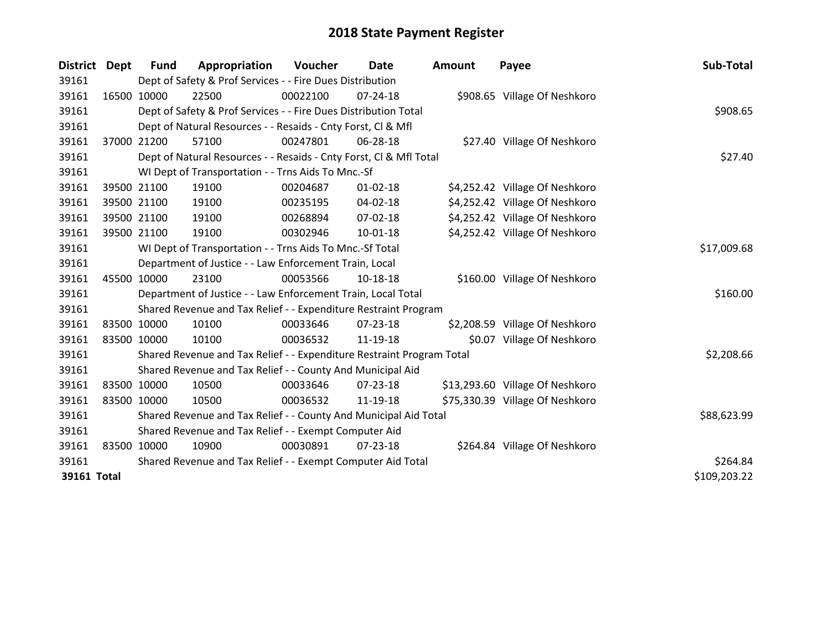| District    | Dept        | <b>Fund</b>                                           | Appropriation                                                         | Voucher  | Date           | <b>Amount</b> | Payee                           | Sub-Total    |
|-------------|-------------|-------------------------------------------------------|-----------------------------------------------------------------------|----------|----------------|---------------|---------------------------------|--------------|
| 39161       |             |                                                       | Dept of Safety & Prof Services - - Fire Dues Distribution             |          |                |               |                                 |              |
| 39161       |             | 16500 10000                                           | 22500                                                                 | 00022100 | 07-24-18       |               | \$908.65 Village Of Neshkoro    |              |
| 39161       |             |                                                       | Dept of Safety & Prof Services - - Fire Dues Distribution Total       |          |                |               |                                 | \$908.65     |
| 39161       |             |                                                       | Dept of Natural Resources - - Resaids - Cnty Forst, CI & Mfl          |          |                |               |                                 |              |
| 39161       |             | 37000 21200                                           | 57100                                                                 | 00247801 | 06-28-18       |               | \$27.40 Village Of Neshkoro     |              |
| 39161       |             |                                                       | Dept of Natural Resources - - Resaids - Cnty Forst, Cl & Mfl Total    |          |                |               |                                 | \$27.40      |
| 39161       |             |                                                       | WI Dept of Transportation - - Trns Aids To Mnc.-Sf                    |          |                |               |                                 |              |
| 39161       |             | 39500 21100                                           | 19100                                                                 | 00204687 | $01 - 02 - 18$ |               | \$4,252.42 Village Of Neshkoro  |              |
| 39161       |             | 39500 21100                                           | 19100                                                                 | 00235195 | $04 - 02 - 18$ |               | \$4,252.42 Village Of Neshkoro  |              |
| 39161       |             | 39500 21100                                           | 19100                                                                 | 00268894 | 07-02-18       |               | \$4,252.42 Village Of Neshkoro  |              |
| 39161       | 39500 21100 |                                                       | 19100                                                                 | 00302946 | $10 - 01 - 18$ |               | \$4,252.42 Village Of Neshkoro  |              |
| 39161       |             |                                                       | WI Dept of Transportation - - Trns Aids To Mnc.-Sf Total              |          |                |               |                                 | \$17,009.68  |
| 39161       |             |                                                       | Department of Justice - - Law Enforcement Train, Local                |          |                |               |                                 |              |
| 39161       | 45500 10000 |                                                       | 23100                                                                 | 00053566 | 10-18-18       |               | \$160.00 Village Of Neshkoro    |              |
| 39161       |             |                                                       | Department of Justice - - Law Enforcement Train, Local Total          |          |                |               |                                 | \$160.00     |
| 39161       |             |                                                       | Shared Revenue and Tax Relief - - Expenditure Restraint Program       |          |                |               |                                 |              |
| 39161       |             | 83500 10000                                           | 10100                                                                 | 00033646 | $07 - 23 - 18$ |               | \$2,208.59 Village Of Neshkoro  |              |
| 39161       | 83500 10000 |                                                       | 10100                                                                 | 00036532 | 11-19-18       |               | \$0.07 Village Of Neshkoro      |              |
| 39161       |             |                                                       | Shared Revenue and Tax Relief - - Expenditure Restraint Program Total |          |                |               |                                 | \$2,208.66   |
| 39161       |             |                                                       | Shared Revenue and Tax Relief - - County And Municipal Aid            |          |                |               |                                 |              |
| 39161       |             | 83500 10000                                           | 10500                                                                 | 00033646 | 07-23-18       |               | \$13,293.60 Village Of Neshkoro |              |
| 39161       |             | 83500 10000                                           | 10500                                                                 | 00036532 | 11-19-18       |               | \$75,330.39 Village Of Neshkoro |              |
| 39161       |             |                                                       | Shared Revenue and Tax Relief - - County And Municipal Aid Total      |          |                |               |                                 | \$88,623.99  |
| 39161       |             | Shared Revenue and Tax Relief - - Exempt Computer Aid |                                                                       |          |                |               |                                 |              |
| 39161       |             | 83500 10000                                           | 10900                                                                 | 00030891 | $07 - 23 - 18$ |               | \$264.84 Village Of Neshkoro    |              |
| 39161       |             |                                                       | Shared Revenue and Tax Relief - - Exempt Computer Aid Total           |          |                |               |                                 | \$264.84     |
| 39161 Total |             |                                                       |                                                                       |          |                |               |                                 | \$109,203.22 |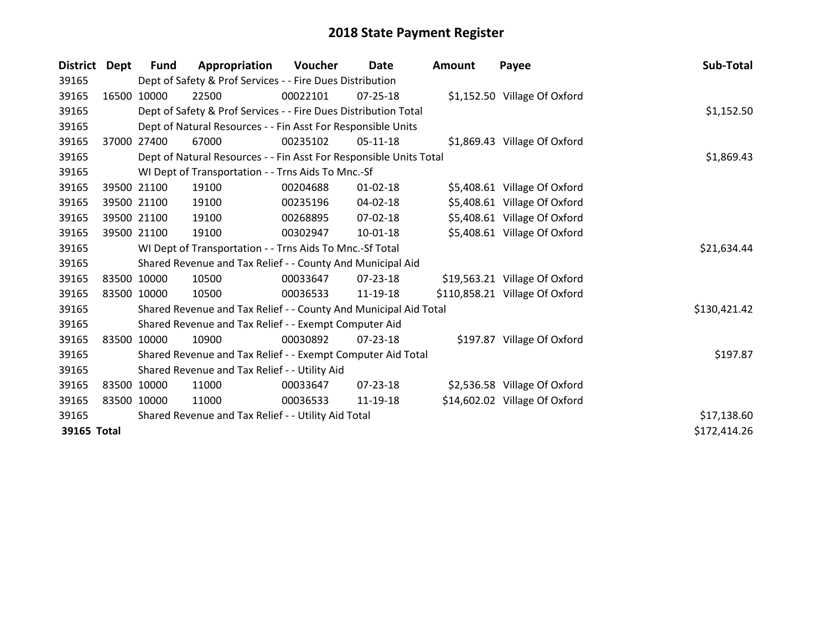| <b>District</b> | Dept  | <b>Fund</b> | Appropriation                                                      | Voucher     | <b>Date</b>    | <b>Amount</b> | Payee                          | Sub-Total    |
|-----------------|-------|-------------|--------------------------------------------------------------------|-------------|----------------|---------------|--------------------------------|--------------|
| 39165           |       |             | Dept of Safety & Prof Services - - Fire Dues Distribution          |             |                |               |                                |              |
| 39165           |       | 16500 10000 | 22500                                                              | 00022101    | 07-25-18       |               | \$1,152.50 Village Of Oxford   |              |
| 39165           |       |             | Dept of Safety & Prof Services - - Fire Dues Distribution Total    |             |                |               |                                | \$1,152.50   |
| 39165           |       |             | Dept of Natural Resources - - Fin Asst For Responsible Units       |             |                |               |                                |              |
| 39165           | 37000 | 27400       | 67000                                                              | 00235102    | $05-11-18$     |               | \$1,869.43 Village Of Oxford   |              |
| 39165           |       |             | Dept of Natural Resources - - Fin Asst For Responsible Units Total |             |                |               |                                | \$1,869.43   |
| 39165           |       |             | WI Dept of Transportation - - Trns Aids To Mnc.-Sf                 |             |                |               |                                |              |
| 39165           |       | 39500 21100 | 19100                                                              | 00204688    | $01 - 02 - 18$ |               | \$5,408.61 Village Of Oxford   |              |
| 39165           |       | 39500 21100 | 19100                                                              | 00235196    | 04-02-18       |               | \$5,408.61 Village Of Oxford   |              |
| 39165           |       | 39500 21100 | 19100                                                              | 00268895    | $07 - 02 - 18$ |               | \$5,408.61 Village Of Oxford   |              |
| 39165           |       | 39500 21100 | 19100                                                              | 00302947    | $10 - 01 - 18$ |               | \$5,408.61 Village Of Oxford   |              |
| 39165           |       |             | WI Dept of Transportation - - Trns Aids To Mnc.-Sf Total           | \$21,634.44 |                |               |                                |              |
| 39165           |       |             | Shared Revenue and Tax Relief - - County And Municipal Aid         |             |                |               |                                |              |
| 39165           |       | 83500 10000 | 10500                                                              | 00033647    | $07 - 23 - 18$ |               | \$19,563.21 Village Of Oxford  |              |
| 39165           |       | 83500 10000 | 10500                                                              | 00036533    | 11-19-18       |               | \$110,858.21 Village Of Oxford |              |
| 39165           |       |             | Shared Revenue and Tax Relief - - County And Municipal Aid Total   |             |                |               |                                | \$130,421.42 |
| 39165           |       |             | Shared Revenue and Tax Relief - - Exempt Computer Aid              |             |                |               |                                |              |
| 39165           |       | 83500 10000 | 10900                                                              | 00030892    | $07 - 23 - 18$ |               | \$197.87 Village Of Oxford     |              |
| 39165           |       |             | Shared Revenue and Tax Relief - - Exempt Computer Aid Total        |             |                |               |                                | \$197.87     |
| 39165           |       |             | Shared Revenue and Tax Relief - - Utility Aid                      |             |                |               |                                |              |
| 39165           |       | 83500 10000 | 11000                                                              | 00033647    | $07 - 23 - 18$ |               | \$2,536.58 Village Of Oxford   |              |
| 39165           |       | 83500 10000 | 11000                                                              | 00036533    | 11-19-18       |               | \$14,602.02 Village Of Oxford  |              |
| 39165           |       |             | Shared Revenue and Tax Relief - - Utility Aid Total                |             |                |               |                                | \$17,138.60  |
| 39165 Total     |       |             |                                                                    |             |                |               |                                | \$172,414.26 |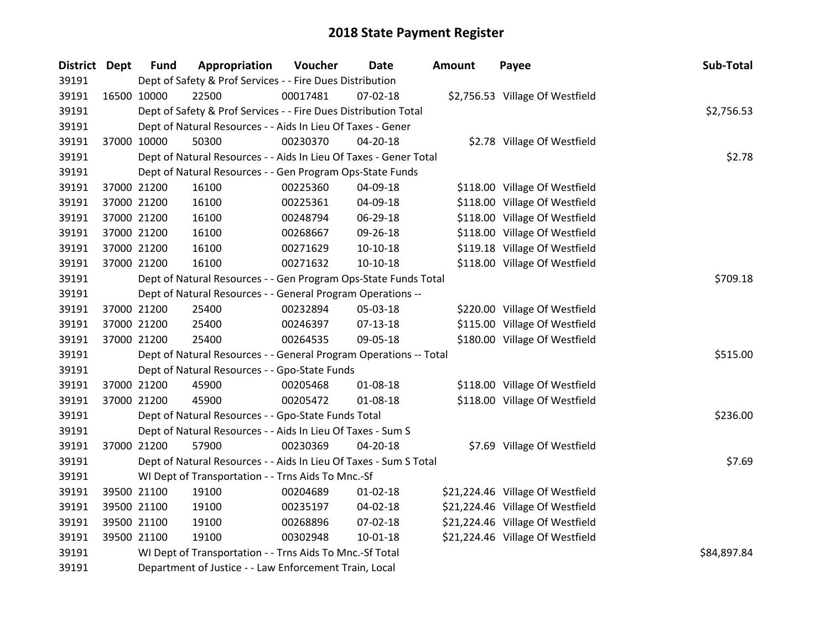| District Dept |             | <b>Fund</b> | Appropriation                                                     | Voucher  | Date           | <b>Amount</b> | Payee                            | Sub-Total  |
|---------------|-------------|-------------|-------------------------------------------------------------------|----------|----------------|---------------|----------------------------------|------------|
| 39191         |             |             | Dept of Safety & Prof Services - - Fire Dues Distribution         |          |                |               |                                  |            |
| 39191         | 16500 10000 |             | 22500                                                             | 00017481 | 07-02-18       |               | \$2,756.53 Village Of Westfield  |            |
| 39191         |             |             | Dept of Safety & Prof Services - - Fire Dues Distribution Total   |          |                |               |                                  | \$2,756.53 |
| 39191         |             |             | Dept of Natural Resources - - Aids In Lieu Of Taxes - Gener       |          |                |               |                                  |            |
| 39191         | 37000 10000 |             | 50300                                                             | 00230370 | 04-20-18       |               | \$2.78 Village Of Westfield      |            |
| 39191         |             |             | Dept of Natural Resources - - Aids In Lieu Of Taxes - Gener Total |          |                |               |                                  | \$2.78     |
| 39191         |             |             | Dept of Natural Resources - - Gen Program Ops-State Funds         |          |                |               |                                  |            |
| 39191         |             | 37000 21200 | 16100                                                             | 00225360 | 04-09-18       |               | \$118.00 Village Of Westfield    |            |
| 39191         |             | 37000 21200 | 16100                                                             | 00225361 | 04-09-18       |               | \$118.00 Village Of Westfield    |            |
| 39191         |             | 37000 21200 | 16100                                                             | 00248794 | 06-29-18       |               | \$118.00 Village Of Westfield    |            |
| 39191         |             | 37000 21200 | 16100                                                             | 00268667 | 09-26-18       |               | \$118.00 Village Of Westfield    |            |
| 39191         |             | 37000 21200 | 16100                                                             | 00271629 | $10-10-18$     |               | \$119.18 Village Of Westfield    |            |
| 39191         |             | 37000 21200 | 16100                                                             | 00271632 | $10-10-18$     |               | \$118.00 Village Of Westfield    |            |
| 39191         |             |             | Dept of Natural Resources - - Gen Program Ops-State Funds Total   |          |                |               |                                  | \$709.18   |
| 39191         |             |             | Dept of Natural Resources - - General Program Operations --       |          |                |               |                                  |            |
| 39191         |             | 37000 21200 | 25400                                                             | 00232894 | 05-03-18       |               | \$220.00 Village Of Westfield    |            |
| 39191         |             | 37000 21200 | 25400                                                             | 00246397 | 07-13-18       |               | \$115.00 Village Of Westfield    |            |
| 39191         |             | 37000 21200 | 25400                                                             | 00264535 | 09-05-18       |               | \$180.00 Village Of Westfield    |            |
| 39191         |             |             | Dept of Natural Resources - - General Program Operations -- Total |          |                |               |                                  | \$515.00   |
| 39191         |             |             | Dept of Natural Resources - - Gpo-State Funds                     |          |                |               |                                  |            |
| 39191         |             | 37000 21200 | 45900                                                             | 00205468 | 01-08-18       |               | \$118.00 Village Of Westfield    |            |
| 39191         |             | 37000 21200 | 45900                                                             | 00205472 | 01-08-18       |               | \$118.00 Village Of Westfield    |            |
| 39191         |             |             | Dept of Natural Resources - - Gpo-State Funds Total               |          |                |               |                                  | \$236.00   |
| 39191         |             |             | Dept of Natural Resources - - Aids In Lieu Of Taxes - Sum S       |          |                |               |                                  |            |
| 39191         |             | 37000 21200 | 57900                                                             | 00230369 | 04-20-18       |               | \$7.69 Village Of Westfield      |            |
| 39191         |             |             | Dept of Natural Resources - - Aids In Lieu Of Taxes - Sum S Total |          |                |               |                                  | \$7.69     |
| 39191         |             |             | WI Dept of Transportation - - Trns Aids To Mnc.-Sf                |          |                |               |                                  |            |
| 39191         |             | 39500 21100 | 19100                                                             | 00204689 | $01 - 02 - 18$ |               | \$21,224.46 Village Of Westfield |            |
| 39191         |             | 39500 21100 | 19100                                                             | 00235197 | 04-02-18       |               | \$21,224.46 Village Of Westfield |            |
| 39191         |             | 39500 21100 | 19100                                                             | 00268896 | 07-02-18       |               | \$21,224.46 Village Of Westfield |            |
| 39191         |             | 39500 21100 | 19100                                                             | 00302948 | 10-01-18       |               | \$21,224.46 Village Of Westfield |            |
| 39191         |             |             | WI Dept of Transportation - - Trns Aids To Mnc.-Sf Total          |          | \$84,897.84    |               |                                  |            |
| 39191         |             |             | Department of Justice - - Law Enforcement Train, Local            |          |                |               |                                  |            |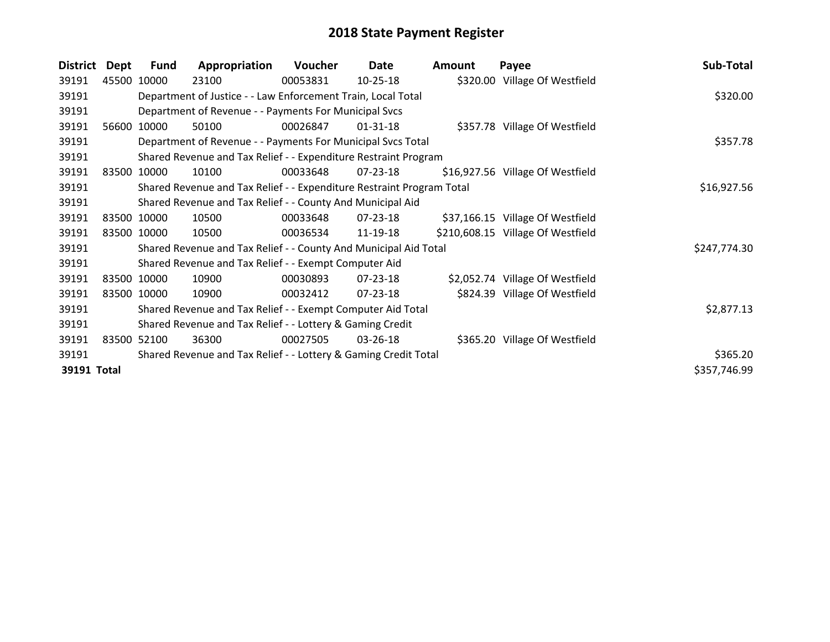| <b>District</b> | Dept  | <b>Fund</b> | Appropriation                                                         | Voucher  | Date           | <b>Amount</b> | Payee                             | Sub-Total    |
|-----------------|-------|-------------|-----------------------------------------------------------------------|----------|----------------|---------------|-----------------------------------|--------------|
| 39191           |       | 45500 10000 | 23100                                                                 | 00053831 | $10-25-18$     |               | \$320.00 Village Of Westfield     |              |
| 39191           |       |             | Department of Justice - - Law Enforcement Train, Local Total          |          |                |               |                                   | \$320.00     |
| 39191           |       |             | Department of Revenue - - Payments For Municipal Svcs                 |          |                |               |                                   |              |
| 39191           | 56600 | 10000       | 50100                                                                 | 00026847 | $01 - 31 - 18$ |               | \$357.78 Village Of Westfield     |              |
| 39191           |       |             | Department of Revenue - - Payments For Municipal Svcs Total           |          |                |               |                                   | \$357.78     |
| 39191           |       |             | Shared Revenue and Tax Relief - - Expenditure Restraint Program       |          |                |               |                                   |              |
| 39191           |       | 83500 10000 | 10100                                                                 | 00033648 | 07-23-18       |               | \$16,927.56 Village Of Westfield  |              |
| 39191           |       |             | Shared Revenue and Tax Relief - - Expenditure Restraint Program Total |          |                |               |                                   | \$16,927.56  |
| 39191           |       |             | Shared Revenue and Tax Relief - - County And Municipal Aid            |          |                |               |                                   |              |
| 39191           |       | 83500 10000 | 10500                                                                 | 00033648 | $07 - 23 - 18$ |               | \$37,166.15 Village Of Westfield  |              |
| 39191           |       | 83500 10000 | 10500                                                                 | 00036534 | 11-19-18       |               | \$210,608.15 Village Of Westfield |              |
| 39191           |       |             | Shared Revenue and Tax Relief - - County And Municipal Aid Total      |          |                |               |                                   | \$247,774.30 |
| 39191           |       |             | Shared Revenue and Tax Relief - - Exempt Computer Aid                 |          |                |               |                                   |              |
| 39191           |       | 83500 10000 | 10900                                                                 | 00030893 | 07-23-18       |               | \$2,052.74 Village Of Westfield   |              |
| 39191           |       | 83500 10000 | 10900                                                                 | 00032412 | 07-23-18       |               | \$824.39 Village Of Westfield     |              |
| 39191           |       |             | Shared Revenue and Tax Relief - - Exempt Computer Aid Total           |          |                |               |                                   | \$2,877.13   |
| 39191           |       |             | Shared Revenue and Tax Relief - - Lottery & Gaming Credit             |          |                |               |                                   |              |
| 39191           |       | 83500 52100 | 36300                                                                 | 00027505 | 03-26-18       |               | \$365.20 Village Of Westfield     |              |
| 39191           |       |             | Shared Revenue and Tax Relief - - Lottery & Gaming Credit Total       |          |                |               |                                   | \$365.20     |
| 39191 Total     |       |             |                                                                       |          |                |               |                                   | \$357,746.99 |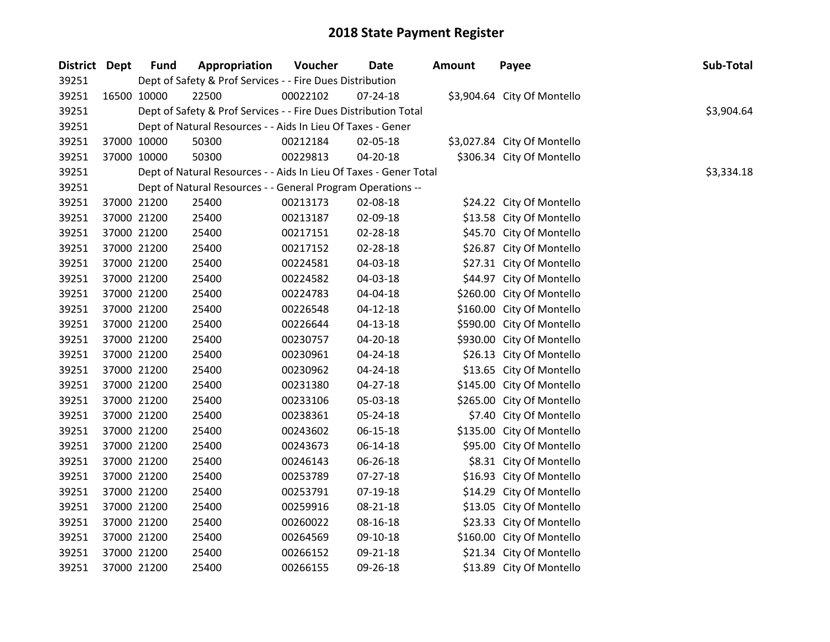| District Dept | <b>Fund</b> | Appropriation                                                     | Voucher  | Date           | <b>Amount</b> | Payee                       | Sub-Total  |
|---------------|-------------|-------------------------------------------------------------------|----------|----------------|---------------|-----------------------------|------------|
| 39251         |             | Dept of Safety & Prof Services - - Fire Dues Distribution         |          |                |               |                             |            |
| 39251         | 16500 10000 | 22500                                                             | 00022102 | $07 - 24 - 18$ |               | \$3,904.64 City Of Montello |            |
| 39251         |             | Dept of Safety & Prof Services - - Fire Dues Distribution Total   |          |                |               |                             | \$3,904.64 |
| 39251         |             | Dept of Natural Resources - - Aids In Lieu Of Taxes - Gener       |          |                |               |                             |            |
| 39251         | 37000 10000 | 50300                                                             | 00212184 | 02-05-18       |               | \$3,027.84 City Of Montello |            |
| 39251         | 37000 10000 | 50300                                                             | 00229813 | 04-20-18       |               | \$306.34 City Of Montello   |            |
| 39251         |             | Dept of Natural Resources - - Aids In Lieu Of Taxes - Gener Total |          |                |               |                             | \$3,334.18 |
| 39251         |             | Dept of Natural Resources - - General Program Operations --       |          |                |               |                             |            |
| 39251         | 37000 21200 | 25400                                                             | 00213173 | 02-08-18       |               | \$24.22 City Of Montello    |            |
| 39251         | 37000 21200 | 25400                                                             | 00213187 | 02-09-18       |               | \$13.58 City Of Montello    |            |
| 39251         | 37000 21200 | 25400                                                             | 00217151 | 02-28-18       |               | \$45.70 City Of Montello    |            |
| 39251         | 37000 21200 | 25400                                                             | 00217152 | 02-28-18       |               | \$26.87 City Of Montello    |            |
| 39251         | 37000 21200 | 25400                                                             | 00224581 | 04-03-18       |               | \$27.31 City Of Montello    |            |
| 39251         | 37000 21200 | 25400                                                             | 00224582 | 04-03-18       |               | \$44.97 City Of Montello    |            |
| 39251         | 37000 21200 | 25400                                                             | 00224783 | 04-04-18       |               | \$260.00 City Of Montello   |            |
| 39251         | 37000 21200 | 25400                                                             | 00226548 | $04 - 12 - 18$ |               | \$160.00 City Of Montello   |            |
| 39251         | 37000 21200 | 25400                                                             | 00226644 | 04-13-18       |               | \$590.00 City Of Montello   |            |
| 39251         | 37000 21200 | 25400                                                             | 00230757 | 04-20-18       |               | \$930.00 City Of Montello   |            |
| 39251         | 37000 21200 | 25400                                                             | 00230961 | 04-24-18       |               | \$26.13 City Of Montello    |            |
| 39251         | 37000 21200 | 25400                                                             | 00230962 | 04-24-18       |               | \$13.65 City Of Montello    |            |
| 39251         | 37000 21200 | 25400                                                             | 00231380 | 04-27-18       |               | \$145.00 City Of Montello   |            |
| 39251         | 37000 21200 | 25400                                                             | 00233106 | 05-03-18       |               | \$265.00 City Of Montello   |            |
| 39251         | 37000 21200 | 25400                                                             | 00238361 | 05-24-18       |               | \$7.40 City Of Montello     |            |
| 39251         | 37000 21200 | 25400                                                             | 00243602 | 06-15-18       |               | \$135.00 City Of Montello   |            |
| 39251         | 37000 21200 | 25400                                                             | 00243673 | 06-14-18       |               | \$95.00 City Of Montello    |            |
| 39251         | 37000 21200 | 25400                                                             | 00246143 | 06-26-18       |               | \$8.31 City Of Montello     |            |
| 39251         | 37000 21200 | 25400                                                             | 00253789 | 07-27-18       |               | \$16.93 City Of Montello    |            |
| 39251         | 37000 21200 | 25400                                                             | 00253791 | 07-19-18       |               | \$14.29 City Of Montello    |            |
| 39251         | 37000 21200 | 25400                                                             | 00259916 | 08-21-18       |               | \$13.05 City Of Montello    |            |
| 39251         | 37000 21200 | 25400                                                             | 00260022 | 08-16-18       |               | \$23.33 City Of Montello    |            |
| 39251         | 37000 21200 | 25400                                                             | 00264569 | 09-10-18       |               | \$160.00 City Of Montello   |            |
| 39251         | 37000 21200 | 25400                                                             | 00266152 | 09-21-18       |               | \$21.34 City Of Montello    |            |
| 39251         | 37000 21200 | 25400                                                             | 00266155 | 09-26-18       |               | \$13.89 City Of Montello    |            |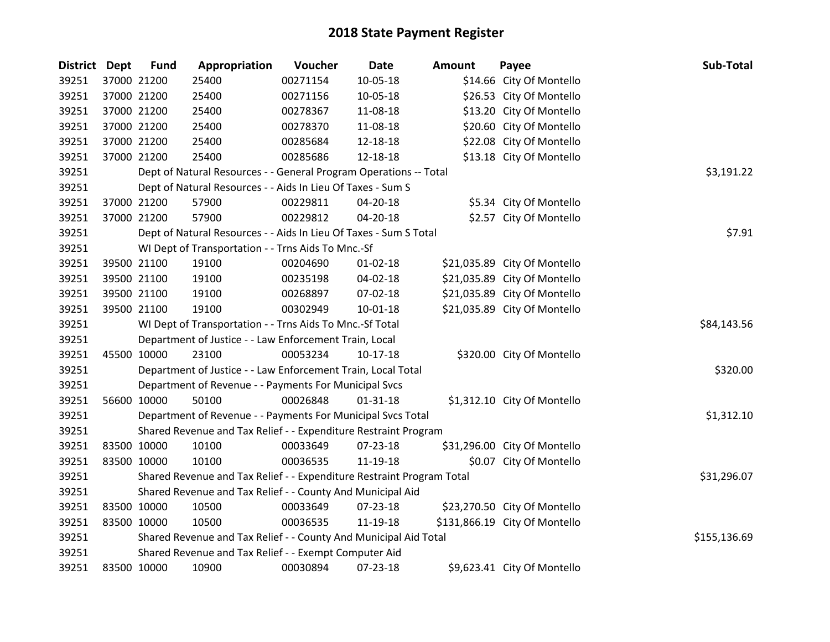| District Dept |             | <b>Fund</b> | Appropriation                                                         | Voucher  | Date           | Amount | Payee                         | Sub-Total    |
|---------------|-------------|-------------|-----------------------------------------------------------------------|----------|----------------|--------|-------------------------------|--------------|
| 39251         |             | 37000 21200 | 25400                                                                 | 00271154 | 10-05-18       |        | \$14.66 City Of Montello      |              |
| 39251         |             | 37000 21200 | 25400                                                                 | 00271156 | 10-05-18       |        | \$26.53 City Of Montello      |              |
| 39251         |             | 37000 21200 | 25400                                                                 | 00278367 | 11-08-18       |        | \$13.20 City Of Montello      |              |
| 39251         |             | 37000 21200 | 25400                                                                 | 00278370 | 11-08-18       |        | \$20.60 City Of Montello      |              |
| 39251         |             | 37000 21200 | 25400                                                                 | 00285684 | 12-18-18       |        | \$22.08 City Of Montello      |              |
| 39251         |             | 37000 21200 | 25400                                                                 | 00285686 | 12-18-18       |        | \$13.18 City Of Montello      |              |
| 39251         |             |             | Dept of Natural Resources - - General Program Operations -- Total     |          |                |        |                               | \$3,191.22   |
| 39251         |             |             | Dept of Natural Resources - - Aids In Lieu Of Taxes - Sum S           |          |                |        |                               |              |
| 39251         |             | 37000 21200 | 57900                                                                 | 00229811 | 04-20-18       |        | \$5.34 City Of Montello       |              |
| 39251         |             | 37000 21200 | 57900                                                                 | 00229812 | 04-20-18       |        | \$2.57 City Of Montello       |              |
| 39251         |             |             | Dept of Natural Resources - - Aids In Lieu Of Taxes - Sum S Total     |          |                |        |                               | \$7.91       |
| 39251         |             |             | WI Dept of Transportation - - Trns Aids To Mnc.-Sf                    |          |                |        |                               |              |
| 39251         |             | 39500 21100 | 19100                                                                 | 00204690 | $01 - 02 - 18$ |        | \$21,035.89 City Of Montello  |              |
| 39251         |             | 39500 21100 | 19100                                                                 | 00235198 | 04-02-18       |        | \$21,035.89 City Of Montello  |              |
| 39251         |             | 39500 21100 | 19100                                                                 | 00268897 | 07-02-18       |        | \$21,035.89 City Of Montello  |              |
| 39251         |             | 39500 21100 | 19100                                                                 | 00302949 | $10 - 01 - 18$ |        | \$21,035.89 City Of Montello  |              |
| 39251         |             |             | WI Dept of Transportation - - Trns Aids To Mnc.-Sf Total              |          |                |        |                               | \$84,143.56  |
| 39251         |             |             | Department of Justice - - Law Enforcement Train, Local                |          |                |        |                               |              |
| 39251         |             | 45500 10000 | 23100                                                                 | 00053234 | $10-17-18$     |        | \$320.00 City Of Montello     |              |
| 39251         |             |             | Department of Justice - - Law Enforcement Train, Local Total          |          |                |        |                               | \$320.00     |
| 39251         |             |             | Department of Revenue - - Payments For Municipal Svcs                 |          |                |        |                               |              |
| 39251         |             | 56600 10000 | 50100                                                                 | 00026848 | $01 - 31 - 18$ |        | \$1,312.10 City Of Montello   |              |
| 39251         |             |             | Department of Revenue - - Payments For Municipal Svcs Total           |          |                |        |                               | \$1,312.10   |
| 39251         |             |             | Shared Revenue and Tax Relief - - Expenditure Restraint Program       |          |                |        |                               |              |
| 39251         |             | 83500 10000 | 10100                                                                 | 00033649 | 07-23-18       |        | \$31,296.00 City Of Montello  |              |
| 39251         |             | 83500 10000 | 10100                                                                 | 00036535 | 11-19-18       |        | \$0.07 City Of Montello       |              |
| 39251         |             |             | Shared Revenue and Tax Relief - - Expenditure Restraint Program Total |          |                |        |                               | \$31,296.07  |
| 39251         |             |             | Shared Revenue and Tax Relief - - County And Municipal Aid            |          |                |        |                               |              |
| 39251         |             | 83500 10000 | 10500                                                                 | 00033649 | 07-23-18       |        | \$23,270.50 City Of Montello  |              |
| 39251         | 83500 10000 |             | 10500                                                                 | 00036535 | 11-19-18       |        | \$131,866.19 City Of Montello |              |
| 39251         |             |             | Shared Revenue and Tax Relief - - County And Municipal Aid Total      |          |                |        |                               | \$155,136.69 |
| 39251         |             |             | Shared Revenue and Tax Relief - - Exempt Computer Aid                 |          |                |        |                               |              |
| 39251         | 83500 10000 |             | 10900                                                                 | 00030894 | 07-23-18       |        | \$9,623.41 City Of Montello   |              |